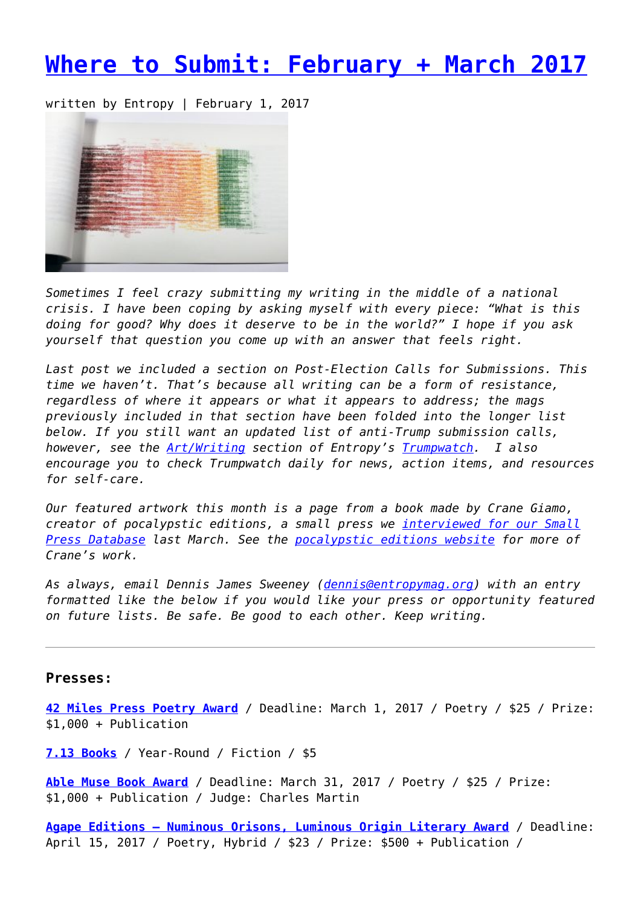# **[Where to Submit: February + March 2017](https://entropymag.org/where-to-submit-february-march-2017/)**

written by Entropy | February 1, 2017



*Sometimes I feel crazy submitting my writing in the middle of a national crisis. I have been coping by asking myself with every piece: "What is this doing for good? Why does it deserve to be in the world?" I hope if you ask yourself that question you come up with an answer that feels right.*

*Last post we included a section on Post-Election Calls for Submissions. This time we haven't. That's because all writing can be a form of resistance, regardless of where it appears or what it appears to address; the mags previously included in that section have been folded into the longer list below. If you still want an updated list of anti-Trump submission calls, however, see the [Art/Writing](http://trumpwatch.entropymag.org/artwriting/) section of Entropy's [Trumpwatch.](http://trumpwatch.entropymag.org/) I also encourage you to check Trumpwatch daily for news, action items, and resources for self-care.*

*Our featured artwork this month is a page from a book made by Crane Giamo, creator of pocalypstic editions, a small press we [interviewed for our Small](https://entropymag.org/pocalypstic-editions/) [Press Database](https://entropymag.org/pocalypstic-editions/) last March. See the [pocalypstic editions website](https://pocalypsticeditions.org/) for more of Crane's work.*

*As always, email Dennis James Sweeney ([dennis@entropymag.org\)](mailto:dennis@entropymag.org) with an entry formatted like the below if you would like your press or opportunity featured on future lists. Be safe. Be good to each other. Keep writing.*

### **Presses:**

**[42 Miles Press Poetry Award](http://42milespress.com/contest/)** / Deadline: March 1, 2017 / Poetry / \$25 / Prize: \$1,000 + Publication

**[7.13 Books](https://713books.com/submit/)** / Year-Round / Fiction / \$5

**[Able Muse Book Award](http://www.ablemusepress.com/ablemuse-book-award)** / Deadline: March 31, 2017 / Poetry / \$25 / Prize: \$1,000 + Publication / Judge: Charles Martin

**[Agape Editions – Numinous Orisons, Luminous Origin Literary Award](http://www.sundresspublications.com/agape/contest.htm)** / Deadline: April 15, 2017 / Poetry, Hybrid / \$23 / Prize: \$500 + Publication /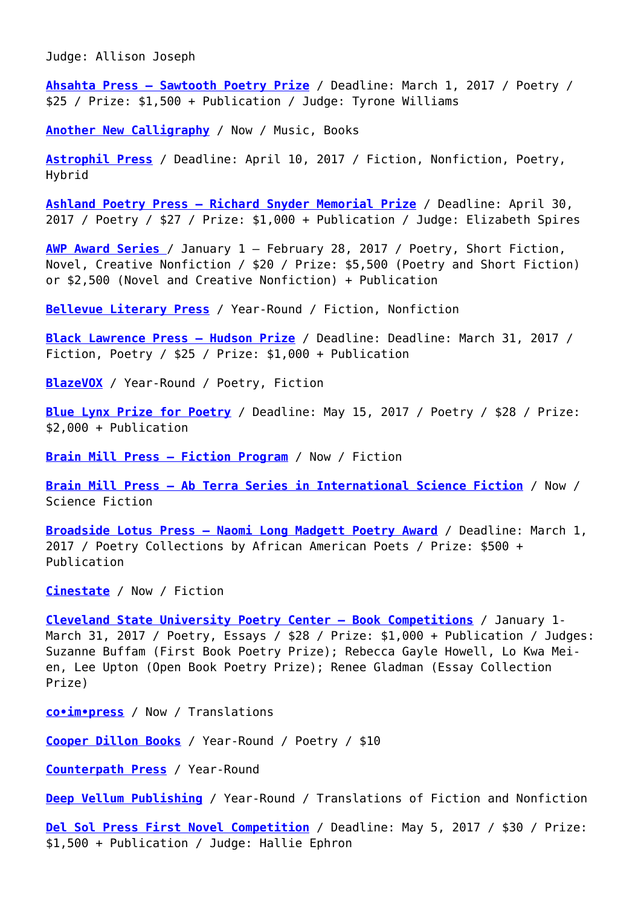Judge: Allison Joseph

**[Ahsahta Press – Sawtooth Poetry Prize](http://ahsahtapress.org/open-submissions/sawtooth-poetry-prize/)** / Deadline: March 1, 2017 / Poetry / \$25 / Prize: \$1,500 + Publication / Judge: Tyrone Williams

**[Another New Calligraphy](http://www.anothernewcalligraphy.com/search/label/information?max-results=50)** / Now / Music, Books

**[Astrophil Press](http://www.astrophilpress.com/submissionguidelines-bedford)** / Deadline: April 10, 2017 / Fiction, Nonfiction, Poetry, Hybrid

**[Ashland Poetry Press – Richard Snyder Memorial Prize](http://www.ashlandpoetrypress.com/guidelines/snyder-prize)** / Deadline: April 30, 2017 / Poetry / \$27 / Prize: \$1,000 + Publication / Judge: Elizabeth Spires

**[AWP Award Series](https://www.awpwriter.org/contests/awp_award_series_overview)** / January 1 – February 28, 2017 / Poetry, Short Fiction, Novel, Creative Nonfiction / \$20 / Prize: \$5,500 (Poetry and Short Fiction) or \$2,500 (Novel and Creative Nonfiction) + Publication

**[Bellevue Literary Press](http://blpress.org/contact/)** / Year-Round / Fiction, Nonfiction

**[Black Lawrence Press – Hudson Prize](https://blacklawrencepress.submittable.com/submit)** / Deadline: Deadline: March 31, 2017 / Fiction, Poetry / \$25 / Prize: \$1,000 + Publication

**[BlazeVOX](http://www.blazevox.org/index.php/faqs/)** / Year-Round / Poetry, Fiction

**[Blue Lynx Prize for Poetry](https://lynxhousepress.submittable.com/submit)** / Deadline: May 15, 2017 / Poetry / \$28 / Prize: \$2,000 + Publication

**[Brain Mill Press – Fiction Program](https://brainmillpress.submittable.com/submit)** / Now / Fiction

**[Brain Mill Press – Ab Terra Series in International Science Fiction](https://brainmillpress.submittable.com/submit)** / Now / Science Fiction

**[Broadside Lotus Press – Naomi Long Madgett Poetry Award](http://www.broadsidelotuspress.com/PoetryAward.htm)** / Deadline: March 1, 2017 / Poetry Collections by African American Poets / Prize: \$500 + Publication

**[Cinestate](http://cinestate.com/books)** / Now / Fiction

**[Cleveland State University Poetry Center – Book Competitions](http://www.csupoetrycenter.com/first-book-poetry/)** / January 1- March 31, 2017 / Poetry, Essays / \$28 / Prize: \$1,000 + Publication / Judges: Suzanne Buffam (First Book Poetry Prize); Rebecca Gayle Howell, Lo Kwa Meien, Lee Upton (Open Book Poetry Prize); Renee Gladman (Essay Collection Prize)

**[co•im•press](https://coimpress.submittable.com/submit)** / Now / Translations

**[Cooper Dillon Books](http://cooperdillon.com/submissions.html)** / Year-Round / Poetry / \$10

**[Counterpath Press](http://counterpathpress.org/contact)** / Year-Round

**[Deep Vellum Publishing](http://deepvellum.org/contact/)** / Year-Round / Translations of Fiction and Nonfiction

**[Del Sol Press First Novel Competition](http://delsolpress.org/DSP-NovelCompetition.htm)** / Deadline: May 5, 2017 / \$30 / Prize: \$1,500 + Publication / Judge: Hallie Ephron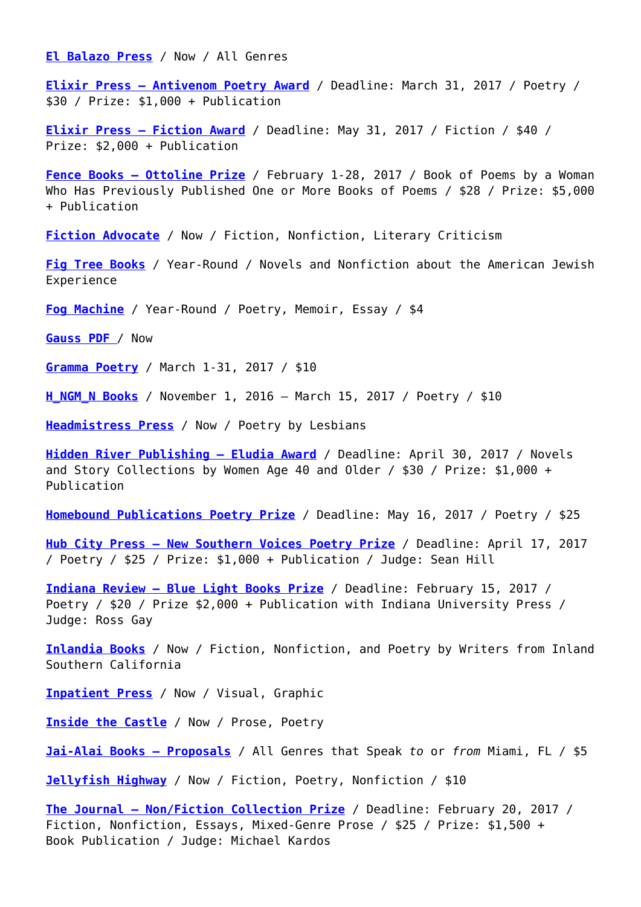**[El Balazo Press](http://elbalazopress.com/about-el-balazo/)** / Now / All Genres

**[Elixir Press – Antivenom Poetry Award](http://elixirpress.com/antivenom-poetry-prize/)** / Deadline: March 31, 2017 / Poetry / \$30 / Prize: \$1,000 + Publication

**[Elixir Press – Fiction Award](http://elixirpress.com/fiction-guidelines/)** / Deadline: May 31, 2017 / Fiction / \$40 / Prize: \$2,000 + Publication

**[Fence Books – Ottoline Prize](http://www.fenceportal.org/?page_id=6412)** / February 1-28, 2017 / Book of Poems by a Woman Who Has Previously Published One or More Books of Poems / \$28 / Prize: \$5,000 + Publication

**[Fiction Advocate](http://fictionadvocate.com/submit-3/)** / Now / Fiction, Nonfiction, Literary Criticism

**[Fig Tree Books](https://figtreebooks.submittable.com/submit)** / Year-Round / Novels and Nonfiction about the American Jewish Experience

**[Fog Machine](http://fogmachine.life/submit/)** / Year-Round / Poetry, Memoir, Essay / \$4

**[Gauss PDF](http://www.gauss-pdf.com/about)** / Now

**[Gramma Poetry](http://gramma.press/about/)** / March 1-31, 2017 / \$10

**[H\\_NGM\\_N Books](http://www.h-ngm-n.com/s_bmissions/)** / November 1, 2016 – March 15, 2017 / Poetry / \$10

**[Headmistress Press](http://headmistresspress.blogspot.com/p/contact.html)** / Now / Poetry by Lesbians

**[Hidden River Publishing – Eludia Award](https://hiddenriverarts.wordpress.com/2016-competition-guidelines/)** / Deadline: April 30, 2017 / Novels and Story Collections by Women Age 40 and Older / \$30 / Prize: \$1,000 + Publication

**[Homebound Publications Poetry Prize](https://homeboundpublications.submittable.com/submit)** / Deadline: May 16, 2017 / Poetry / \$25

**[Hub City Press – New Southern Voices Poetry Prize](http://www.hubcity.org/press/new-southern-voices-poetry-prize)** / Deadline: April 17, 2017 / Poetry / \$25 / Prize: \$1,000 + Publication / Judge: Sean Hill

**[Indiana Review – Blue Light Books Prize](https://indianareview.org/blue-light-books/)** / Deadline: February 15, 2017 / Poetry / \$20 / Prize \$2,000 + Publication with Indiana University Press / Judge: Ross Gay

**[Inlandia Books](https://inlandiaaliteraryjourney.submittable.com/submit)** / Now / Fiction, Nonfiction, and Poetry by Writers from Inland Southern California

**[Inpatient Press](http://www.inpatientpress.com/submissions/)** / Now / Visual, Graphic

**[Inside the Castle](http://www.insidethecastle.org/?page_id=2402)** / Now / Prose, Poetry

**[Jai-Alai Books – Proposals](https://omiami.submittable.com/submit)** / All Genres that Speak *to* or *from* Miami, FL / \$5

**[Jellyfish Highway](https://jellyfishhighway.submittable.com/submit)** / Now / Fiction, Poetry, Nonfiction / \$10

**[The Journal – Non/Fiction Collection Prize](https://thejournal.submittable.com/submit)** / Deadline: February 20, 2017 / Fiction, Nonfiction, Essays, Mixed-Genre Prose / \$25 / Prize: \$1,500 + Book Publication / Judge: Michael Kardos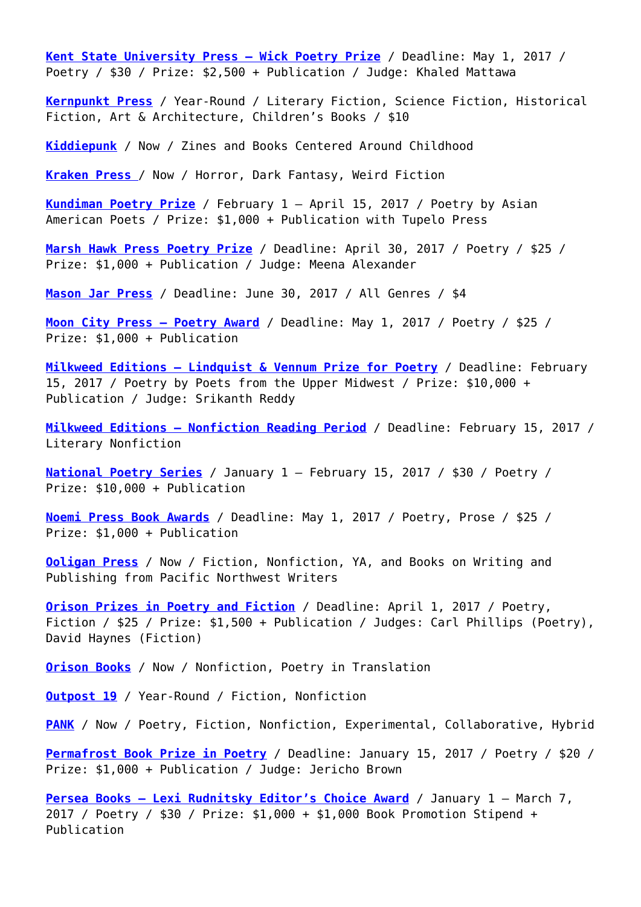**[Kent State University Press – Wick Poetry Prize](https://wickpoetrycenter.submittable.com/submit?utm_content=13323885&utm_medium=social&utm_source=twitter)** / Deadline: May 1, 2017 / Poetry / \$30 / Prize: \$2,500 + Publication / Judge: Khaled Mattawa

**[Kernpunkt Press](http://www.kernpunktpress.com/submissions.html)** / Year-Round / Literary Fiction, Science Fiction, Historical Fiction, Art & Architecture, Children's Books / \$10

**[Kiddiepunk](http://www.kiddiepunk.com/contact.htm)** / Now / Zines and Books Centered Around Childhood

**[Kraken Press](https://kraken.submittable.com/submit)** [/](https://kraken.submittable.com/submit) Now / Horror, Dark Fantasy, Weird Fiction

**[Kundiman Poetry Prize](http://kundiman.org/prize/)** / February 1 – April 15, 2017 / Poetry by Asian American Poets / Prize: \$1,000 + Publication with Tupelo Press

**[Marsh Hawk Press Poetry Prize](http://www.marshhawkpress.org/Contests_and_submissions.htm)** / Deadline: April 30, 2017 / Poetry / \$25 / Prize: \$1,000 + Publication / Judge: Meena Alexander

**[Mason Jar Press](https://masonjarpress.submittable.com/submit)** / Deadline: June 30, 2017 / All Genres / \$4

**[Moon City Press – Poetry Award](http://moon-city-press.com/poetry-contest/)** / Deadline: May 1, 2017 / Poetry / \$25 / Prize: \$1,000 + Publication

**[Milkweed Editions – Lindquist & Vennum Prize for Poetry](http://milkweed.org/submissions)** / Deadline: February 15, 2017 / Poetry by Poets from the Upper Midwest / Prize: \$10,000 + Publication / Judge: Srikanth Reddy

**[Milkweed Editions – Nonfiction Reading Period](https://milkweededitions.submittable.com/submit)** / Deadline: February 15, 2017 / Literary Nonfiction

**[National Poetry Series](https://thenationalpoetryseries.submittable.com/submit)** / January 1 – February 15, 2017 / \$30 / Poetry / Prize: \$10,000 + Publication

**[Noemi Press Book Awards](http://www.noemipress.org/contest/)** / Deadline: May 1, 2017 / Poetry, Prose / \$25 / Prize: \$1,000 + Publication

**[Ooligan Press](https://ooliganpress.submittable.com/Submit)** / Now / Fiction, Nonfiction, YA, and Books on Writing and Publishing from Pacific Northwest Writers

**[Orison Prizes in Poetry and Fiction](https://orisonbooks.submittable.com/submit)** / Deadline: April 1, 2017 / Poetry, Fiction / \$25 / Prize: \$1,500 + Publication / Judges: Carl Phillips (Poetry), David Haynes (Fiction)

**[Orison Books](https://orisonbooks.submittable.com/submit)** / Now / Nonfiction, Poetry in Translation

**[Outpost 19](https://outpost19.submittable.com/submit)** / Year-Round / Fiction, Nonfiction

**[PANK](https://pankmagazine.submittable.com/submit)** / Now / Poetry, Fiction, Nonfiction, Experimental, Collaborative, Hybrid

**[Permafrost Book Prize in Poetry](https://permafrostmag.submittable.com/submit)** / Deadline: January 15, 2017 / Poetry / \$20 / Prize: \$1,000 + Publication / Judge: Jericho Brown

**[Persea Books – Lexi Rudnitsky Editor's Choice Award](http://www.perseabooks.com/editorschoiceaward.php)** / January 1 – March 7, 2017 / Poetry / \$30 / Prize: \$1,000 + \$1,000 Book Promotion Stipend + Publication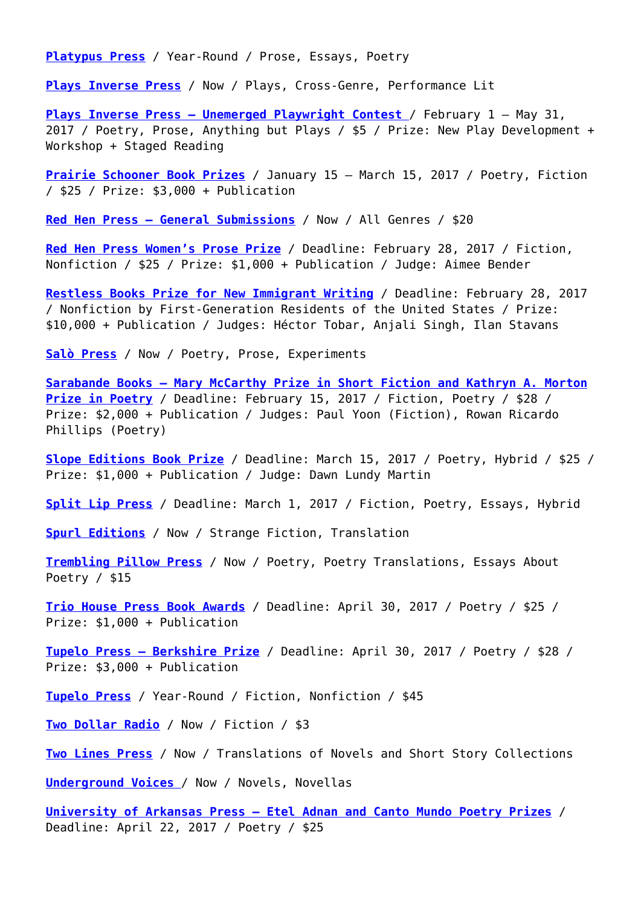**[Platypus Press](http://platypuspress.co.uk/guidelines)** / Year-Round / Prose, Essays, Poetry

**[Plays Inverse Press](http://www.playsinverse.com/contact.html)** / Now / Plays, Cross-Genre, Performance Lit

**[Plays Inverse Press – Unemerged Playwright Contest](https://playsinverse.submittable.com/submit)** / February 1 – May 31, 2017 / Poetry, Prose, Anything but Plays / \$5 / Prize: New Play Development + Workshop + Staged Reading

**[Prairie Schooner Book Prizes](http://prairieschooner.unl.edu/book-prize)** / January 15 – March 15, 2017 / Poetry, Fiction / \$25 / Prize: \$3,000 + Publication

**[Red Hen Press – General Submissions](https://redhenpress.submittable.com/submit)** / Now / All Genres / \$20

**[Red Hen Press Women's Prose Prize](https://redhenpress.submittable.com/submit)** / Deadline: February 28, 2017 / Fiction, Nonfiction / \$25 / Prize: \$1,000 + Publication / Judge: Aimee Bender

**[Restless Books Prize for New Immigrant Writing](http://www.restlessbooks.com/prize-for-new-immigrant-writing/)** / Deadline: February 28, 2017 / Nonfiction by First-Generation Residents of the United States / Prize: \$10,000 + Publication / Judges: Héctor Tobar, Anjali Singh, Ilan Stavans

**[Salò Press](http://salopress.weebly.com/poetry-collections.html)** / Now / Poetry, Prose, Experiments

**[Sarabande Books – Mary McCarthy Prize in Short Fiction and Kathryn A. Morton](http://www.sarabandebooks.org/submissions/) [Prize in Poetry](http://www.sarabandebooks.org/submissions/)** / Deadline: February 15, 2017 / Fiction, Poetry / \$28 / Prize: \$2,000 + Publication / Judges: Paul Yoon (Fiction), Rowan Ricardo Phillips (Poetry)

**[Slope Editions Book Prize](https://slopeeditions.submittable.com/submit)** / Deadline: March 15, 2017 / Poetry, Hybrid / \$25 / Prize: \$1,000 + Publication / Judge: Dawn Lundy Martin

**[Split Lip Press](https://splitlip.submittable.com/submit)** / Deadline: March 1, 2017 / Fiction, Poetry, Essays, Hybrid

**[Spurl Editions](http://spurleditions.com/about/)** / Now / Strange Fiction, Translation

**[Trembling Pillow Press](https://tremblingpillowpress.submittable.com/submit)** / Now / Poetry, Poetry Translations, Essays About Poetry / \$15

**[Trio House Press Book Awards](http://www.triohousepress.org/submissions.html)** / Deadline: April 30, 2017 / Poetry / \$25 / Prize: \$1,000 + Publication

**[Tupelo Press – Berkshire Prize](https://www.tupelopress.org/2016/01/22/2016-berkshire-prize/)** / Deadline: April 30, 2017 / Poetry / \$28 / Prize: \$3,000 + Publication

**[Tupelo Press](https://www.tupelopress.org/submit-2/fictioncreative-nonfiction-submissions/)** / Year-Round / Fiction, Nonfiction / \$45

**[Two Dollar Radio](https://twodollarradio.submittable.com/submit)** / Now / Fiction / \$3

**[Two Lines Press](https://twolines.submittable.com/submit/)** / Now / Translations of Novels and Short Story Collections

**[Underground Voices](http://www.undergroundvoices.com/UVBSubmissions.html)** / Now / Novels, Novellas

**[University of Arkansas Press – Etel Adnan and Canto Mundo Poetry Prizes](https://uark.submittable.com/submit/28003)** / Deadline: April 22, 2017 / Poetry / \$25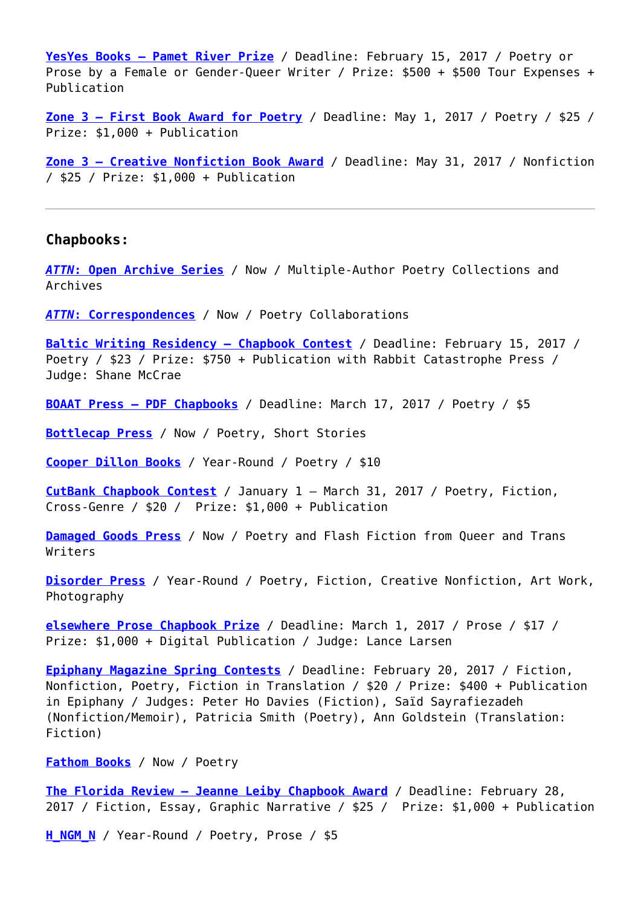**[YesYes Books – Pamet River Prize](https://yesyesbooks.submittable.com/submit)** / Deadline: February 15, 2017 / Poetry or Prose by a Female or Gender-Queer Writer / Prize: \$500 + \$500 Tour Expenses + Publication

**[Zone 3 – First Book Award for Poetry](http://www.apsu.edu/zone3/contests)** / Deadline: May 1, 2017 / Poetry / \$25 / Prize: \$1,000 + Publication

**[Zone 3 – Creative Nonfiction Book Award](http://www.apsu.edu/zone3/contests#Creativenonfiction)** / Deadline: May 31, 2017 / Nonfiction / \$25 / Prize: \$1,000 + Publication

#### **Chapbooks:**

*[ATTN](http://furtherotherbookworks.com/index.php/attn/attn-open-archive/)***[: Open Archive Series](http://furtherotherbookworks.com/index.php/attn/attn-open-archive/)** / Now / Multiple-Author Poetry Collections and Archives

*[ATTN](http://furtherotherbookworks.com/index.php/attn/attn-open-archive/)***[: Correspondences](http://furtherotherbookworks.com/index.php/attn/attn-open-archive/)** / Now / Poetry Collaborations

**[Baltic Writing Residency – Chapbook Contest](https://balticwritingresidency.submittable.com/Submit)** / Deadline: February 15, 2017 / Poetry / \$23 / Prize: \$750 + Publication with Rabbit Catastrophe Press / Judge: Shane McCrae

**[BOAAT Press – PDF Chapbooks](https://boaatpress.submittable.com/submit)** / Deadline: March 17, 2017 / Poetry / \$5

**[Bottlecap Press](http://www.bottlecap.press/subguidelines)** / Now / Poetry, Short Stories

**[Cooper Dillon Books](http://cooperdillon.com/submissions.html)** / Year-Round / Poetry / \$10

**[CutBank Chapbook Contest](http://www.cutbankonline.org/genre-contests/)** / January 1 – March 31, 2017 / Poetry, Fiction, Cross-Genre / \$20 / Prize: \$1,000 + Publication

**[Damaged Goods Press](http://damagedgoodspress.com/dgp-submissions/)** / Now / Poetry and Flash Fiction from Queer and Trans Writers

**[Disorder Press](http://disorderpress.com/submissions/)** / Year-Round / Poetry, Fiction, Creative Nonfiction, Art Work, Photography

**[elsewhere Prose Chapbook Prize](https://elsewheremag.submittable.com/submit)** / Deadline: March 1, 2017 / Prose / \$17 / Prize: \$1,000 + Digital Publication / Judge: Lance Larsen

**[Epiphany Magazine Spring Contests](http://epiphanyzine.com/submit.html)** / Deadline: February 20, 2017 / Fiction, Nonfiction, Poetry, Fiction in Translation / \$20 / Prize: \$400 + Publication in Epiphany / Judges: Peter Ho Davies (Fiction), Saïd Sayrafiezadeh (Nonfiction/Memoir), Patricia Smith (Poetry), Ann Goldstein (Translation: Fiction)

**[Fathom Books](https://sharkpackpoetry.com/contact/)** / Now / Poetry

**[The Florida Review – Jeanne Leiby Chapbook Award](https://floridareview.submittable.com/Submit)** / Deadline: February 28, 2017 / Fiction, Essay, Graphic Narrative / \$25 / Prize: \$1,000 + Publication

**[H\\_NGM\\_N](http://www.h-ngm-n.com/s_bmissions/)** / Year-Round / Poetry, Prose / \$5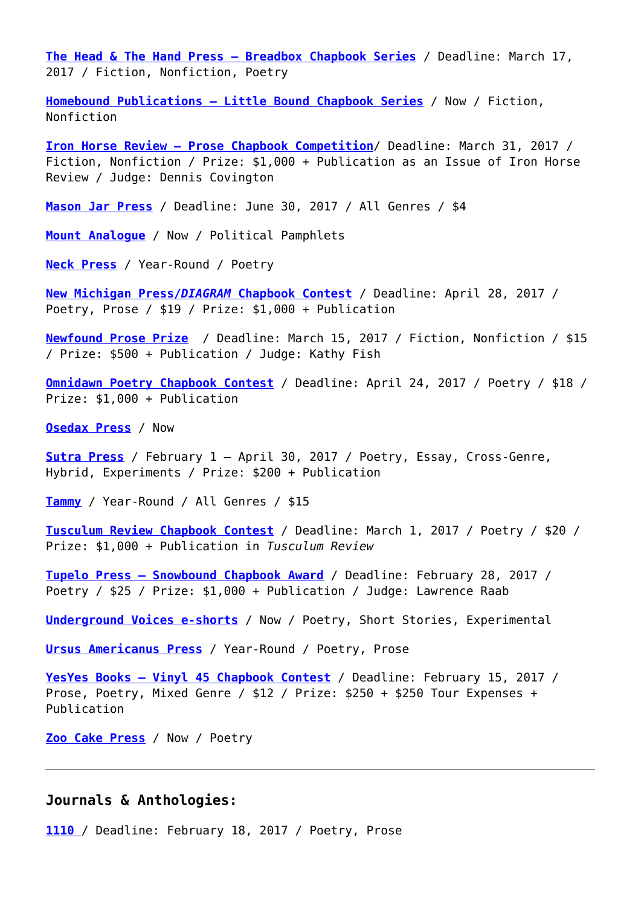**[The Head & The Hand Press – Breadbox Chapbook Series](http://www.theheadandthehand.com/submissions/)** / Deadline: March 17, 2017 / Fiction, Nonfiction, Poetry

**[Homebound Publications – Little Bound Chapbook Series](https://homeboundpublications.submittable.com/submit)** / Now / Fiction, Nonfiction

**[Iron Horse Review – Prose Chapbook Competition](https://ironhorse.submittable.com/submit)**/ Deadline: March 31, 2017 / Fiction, Nonfiction / Prize: \$1,000 + Publication as an Issue of Iron Horse Review / Judge: Dennis Covington

**[Mason Jar Press](https://masonjarpress.submittable.com/submit)** / Deadline: June 30, 2017 / All Genres / \$4

**[Mount Analogue](https://mountanalogue.submittable.com/submit)** / Now / Political Pamphlets

**[Neck Press](http://www.neckpressreview.com/chapbook-submissions.html)** / Year-Round / Poetry

**[New Michigan Press/](http://thediagram.com/contest.html#2016chapbookguidelines)***[DIAGRAM](http://thediagram.com/contest.html#2016chapbookguidelines)* **[Chapbook Contest](http://thediagram.com/contest.html#2016chapbookguidelines)** / Deadline: April 28, 2017 / Poetry, Prose / \$19 / Prize: \$1,000 + Publication

**[Newfound Prose Prize](http://newfoundjournal.org/prose-prize/)** / Deadline: March 15, 2017 / Fiction, Nonfiction / \$15 / Prize: \$500 + Publication / Judge: Kathy Fish

**[Omnidawn Poetry Chapbook Contest](http://www.omnidawn.com/contest/poetry-contests.htm)** / Deadline: April 24, 2017 / Poetry / \$18 / Prize: \$1,000 + Publication

**[Osedax Press](https://osedaxpress.submittable.com/submit)** / Now

**[Sutra Press](http://sutrapress.com/submit/)** / February 1 – April 30, 2017 / Poetry, Essay, Cross-Genre, Hybrid, Experiments / Prize: \$200 + Publication

**[Tammy](https://tammy.submittable.com/submit)** / Year-Round / All Genres / \$15

**[Tusculum Review Chapbook Contest](http://web.tusculum.edu/tusculumreview/contest/)** / Deadline: March 1, 2017 / Poetry / \$20 / Prize: \$1,000 + Publication in *Tusculum Review*

**[Tupelo Press – Snowbound Chapbook Award](http://www.tupelopress.org/snowbound.php)** / Deadline: February 28, 2017 / Poetry / \$25 / Prize: \$1,000 + Publication / Judge: Lawrence Raab

**[Underground Voices e-shorts](http://www.undergroundvoices.com/UVBSubmissions.html)** / Now / Poetry, Short Stories, Experimental

**[Ursus Americanus Press](https://ursusamericanuslit.squarespace.com/chapbooks/)** / Year-Round / Poetry, Prose

**[YesYes Books – Vinyl 45 Chapbook Contest](https://yesyesbooks.submittable.com/submit)** / Deadline: February 15, 2017 / Prose, Poetry, Mixed Genre / \$12 / Prize: \$250 + \$250 Tour Expenses + Publication

**[Zoo Cake Press](http://zoocakepress.com/post/118453371844/about)** / Now / Poetry

## **Journals & Anthologies:**

**[1110](https://111o.submittable.com/submit)** [/](https://111o.submittable.com/submit) Deadline: February 18, 2017 / Poetry, Prose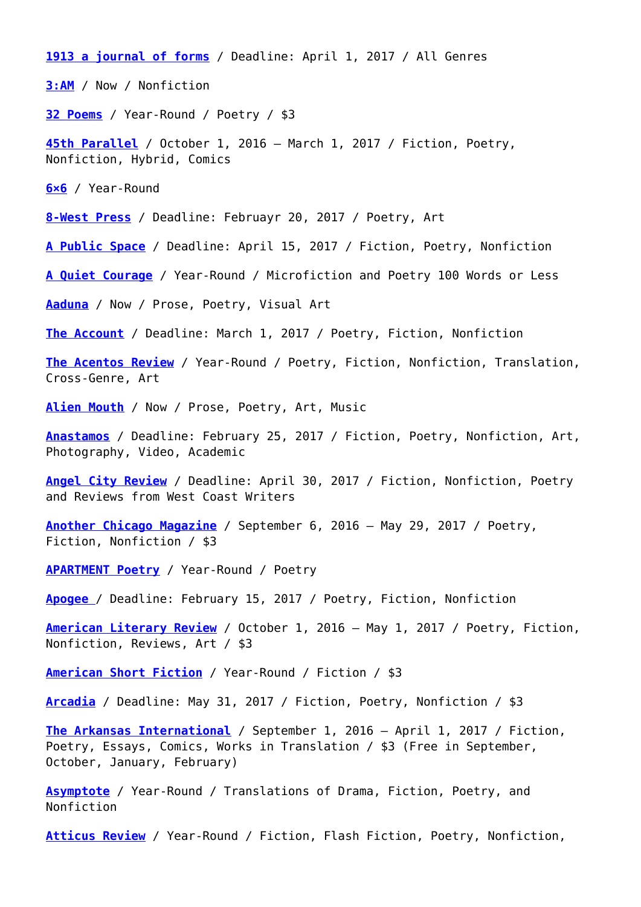**[1913 a journal of forms](https://1913press.submittable.com/submit)** / Deadline: April 1, 2017 / All Genres **[3:AM](http://www.3ammagazine.com/3am/submissions/)** / Now / Nonfiction **[32 Poems](https://32poems.submittable.com/submit)** / Year-Round / Poetry / \$3 **[45th Parallel](http://45thparallelmag.com/submissions/)** / October 1, 2016 – March 1, 2017 / Fiction, Poetry, Nonfiction, Hybrid, Comics **[6×6](http://www.uglyducklingpresse.org/submissions/)** / Year-Round **[8-West Press](https://8-westpress.com/2016/11/15/call-for-submissions/)** / Deadline: Februayr 20, 2017 / Poetry, Art **[A Public Space](https://apublicspacedemo.submittable.com/submit)** / Deadline: April 15, 2017 / Fiction, Poetry, Nonfiction **[A Quiet Courage](https://aquietcourage.wordpress.com/submissions/)** / Year-Round / Microfiction and Poetry 100 Words or Less **[Aaduna](http://www.aaduna.org/submission-process/)** / Now / Prose, Poetry, Visual Art **[The Account](http://theaccountmagazine.com/?page_id=166)** / Deadline: March 1, 2017 / Poetry, Fiction, Nonfiction **[The Acentos Review](http://www.acentosreview.com/Submission_Guidelines.html)** / Year-Round / Poetry, Fiction, Nonfiction, Translation, Cross-Genre, Art **[Alien Mouth](http://alienmouth.com/submit/)** / Now / Prose, Poetry, Art, Music **[Anastamos](http://www.chapman.edu/wilkinson/english/orgs-publications/anastamos.aspx)** / Deadline: February 25, 2017 / Fiction, Poetry, Nonfiction, Art, Photography, Video, Academic **[Angel City Review](http://www.angelcityreview.com/submissions/)** / Deadline: April 30, 2017 / Fiction, Nonfiction, Poetry and Reviews from West Coast Writers **[Another Chicago Magazine](http://www.anotherchicagomagazine.net/submissions)** / September 6, 2016 – May 29, 2017 / Poetry, Fiction, Nonfiction / \$3 **[APARTMENT Poetry](http://apartmentpoetry.com/)** / Year-Round / Poetry **[Apogee](https://apogeejournal.submittable.com/submit)** / Deadline: February 15, 2017 / Poetry, Fiction, Nonfiction **[American Literary Review](http://www.americanliteraryreview.com/submit.html)** / October 1, 2016 – May 1, 2017 / Poetry, Fiction, Nonfiction, Reviews, Art / \$3 **[American Short Fiction](https://americanshortfiction.submittable.com/submit)** / Year-Round / Fiction / \$3 **[Arcadia](https://arcadiajournal.submittable.com/submit)** / Deadline: May 31, 2017 / Fiction, Poetry, Nonfiction / \$3 **[The Arkansas International](http://www.arkint.org/submissions/)** / September 1, 2016 – April 1, 2017 / Fiction, Poetry, Essays, Comics, Works in Translation / \$3 (Free in September, October, January, February) **[Asymptote](http://www.asymptotejournal.com/submit.php)** / Year-Round / Translations of Drama, Fiction, Poetry, and Nonfiction

**[Atticus Review](https://atticusbooks.submittable.com/Submit)** / Year-Round / Fiction, Flash Fiction, Poetry, Nonfiction,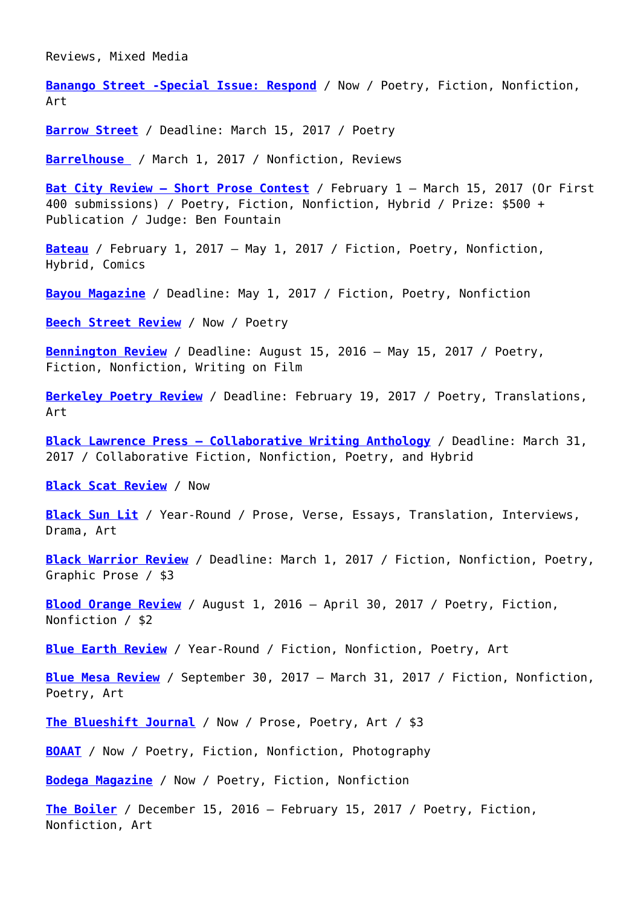Reviews, Mixed Media

**[Banango Street -Special Issue: Respond](http://banangostreet.com/submit/)** / Now / Poetry, Fiction, Nonfiction, Art

**[Barrow Street](http://www.barrowstreet.org/submit.html)** / Deadline: March 15, 2017 / Poetry

**[Barrelhouse](https://barrelhouse.submittable.com/submit)** / March 1, 2017 / Nonfiction, Reviews

**[Bat City Review – Short Prose Contest](http://www.batcityreview.org/contest-announced/)** / February 1 – March 15, 2017 (Or First 400 submissions) / Poetry, Fiction, Nonfiction, Hybrid / Prize: \$500 + Publication / Judge: Ben Fountain

**[Bateau](https://bateaupress.org/submission-guidelines/)** / February 1, 2017 – May 1, 2017 / Fiction, Poetry, Nonfiction, Hybrid, Comics

**[Bayou Magazine](https://bayoumagazine.submittable.com/submit)** / Deadline: May 1, 2017 / Fiction, Poetry, Nonfiction

**[Beech Street Review](https://beechstreetreview.com/guidelines/)** / Now / Poetry

**[Bennington Review](http://www.benningtonreview.org/submit/)** / Deadline: August 15, 2016 – May 15, 2017 / Poetry, Fiction, Nonfiction, Writing on Film

**[Berkeley Poetry Review](https://www.ocf.berkeley.edu/~bpr/submission-guidelines/)** / Deadline: February 19, 2017 / Poetry, Translations, Art

**[Black Lawrence Press – Collaborative Writing Anthology](https://blacklawrencepress.submittable.com/submit)** / Deadline: March 31, 2017 / Collaborative Fiction, Nonfiction, Poetry, and Hybrid

**[Black Scat Review](https://blackscatbooks.com/submissions/)** / Now

**[Black Sun Lit](http://blacksunlit.com/submit/)** / Year-Round / Prose, Verse, Essays, Translation, Interviews, Drama, Art

**[Black Warrior Review](http://bwr.ua.edu/submit/guidelines/)** / Deadline: March 1, 2017 / Fiction, Nonfiction, Poetry, Graphic Prose / \$3

**[Blood Orange Review](http://bloodorangereview.com/submit/)** / August 1, 2016 – April 30, 2017 / Poetry, Fiction, Nonfiction / \$2

**[Blue Earth Review](https://blueearthreview.submittable.com/submit)** / Year-Round / Fiction, Nonfiction, Poetry, Art

**[Blue Mesa Review](https://bluemesareview.submittable.com/submit)** / September 30, 2017 – March 31, 2017 / Fiction, Nonfiction, Poetry, Art

**[The Blueshift Journal](http://www.theblueshiftjournal.com/#!submit/cfvg)** / Now / Prose, Poetry, Art / \$3

**[BOAAT](https://boaatpress.submittable.com/submit)** / Now / Poetry, Fiction, Nonfiction, Photography

**[Bodega Magazine](https://bodegamagazine.submittable.com/submit)** / Now / Poetry, Fiction, Nonfiction

**[The Boiler](https://theboilerjournal.com/guidelines/)** / December 15, 2016 – February 15, 2017 / Poetry, Fiction, Nonfiction, Art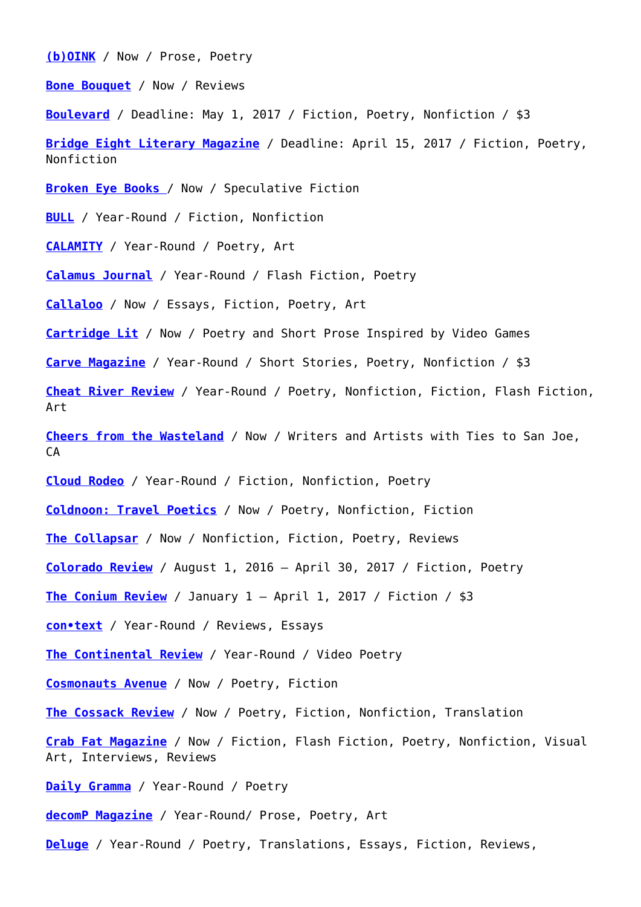**[\(b\)OINK](https://boinkzine.submittable.com/submit)** / Now / Prose, Poetry

**[Bone Bouquet](http://www.bonebouquet.org/submission-guidelines/)** / Now / Reviews

**[Boulevard](https://boulevard.submittable.com/submit)** / Deadline: May 1, 2017 / Fiction, Poetry, Nonfiction / \$3

**[Bridge Eight Literary Magazine](http://www.bridgeeight.com/submit)** / Deadline: April 15, 2017 / Fiction, Poetry, Nonfiction

**[Broken Eye Books](http://www.brokeneyebooks.com/submissions.html)** / Now / Speculative Fiction

**[BULL](https://bullmensfiction.submittable.com/submit)** / Year-Round / Fiction, Nonfiction

**[CALAMITY](http://www.calamitymag.com/submit)** / Year-Round / Poetry, Art

**[Calamus Journal](https://calamusjournal.com/submit/)** / Year-Round / Flash Fiction, Poetry

**[Callaloo](http://callaloo.tamu.edu/node/208)** / Now / Essays, Fiction, Poetry, Art

**[Cartridge Lit](http://cartridgelit.com/submissions/)** / Now / Poetry and Short Prose Inspired by Video Games

**[Carve Magazine](http://carvezine.com/fiction/#.VA3Uqkg8Ysk)** / Year-Round / Short Stories, Poetry, Nonfiction / \$3

**[Cheat River Review](http://cheatriverreview.com/guidelines/)** / Year-Round / Poetry, Nonfiction, Fiction, Flash Fiction, Art

**[Cheers from the Wasteland](http://www.cheersfromthewasteland.com/submissions.html)** / Now / Writers and Artists with Ties to San Joe, CA

**[Cloud Rodeo](http://cloudrodeo.org/submit/)** / Year-Round / Fiction, Nonfiction, Poetry

**[Coldnoon: Travel Poetics](http://coldnoon.com/submissions/#)** / Now / Poetry, Nonfiction, Fiction

**[The Collapsar](https://thecollapsar.submittable.com/submit)** / Now / Nonfiction, Fiction, Poetry, Reviews

**[Colorado Review](https://coloradoreview.submittable.com/Submit)** / August 1, 2016 – April 30, 2017 / Fiction, Poetry

**[The Conium Review](http://coniumreview.com/submission-guidelines/)** / January 1 – April 1, 2017 / Fiction / \$3

**[con•text](http://con-text.co/writeforus)** / Year-Round / Reviews, Essays

**[The Continental Review](http://www.thecontinentalreview.com/submit/)** / Year-Round / Video Poetry

**[Cosmonauts Avenue](https://cosmonautsavenue.submittable.com/submit)** / Now / Poetry, Fiction

**[The Cossack Review](http://www.thecossackreview.com/submit.html)** / Now / Poetry, Fiction, Nonfiction, Translation

**[Crab Fat Magazine](http://crabfatmagazine.com/)** / Now / Fiction, Flash Fiction, Poetry, Nonfiction, Visual Art, Interviews, Reviews

**[Daily Gramma](https://grammapoetry.submittable.com/submit)** / Year-Round / Poetry

**[decomP Magazine](http://www.decompmagazine.com/submit.htm)** / Year-Round/ Prose, Poetry, Art

**[Deluge](http://www.radioactivemoat.com/submit.html)** / Year-Round / Poetry, Translations, Essays, Fiction, Reviews,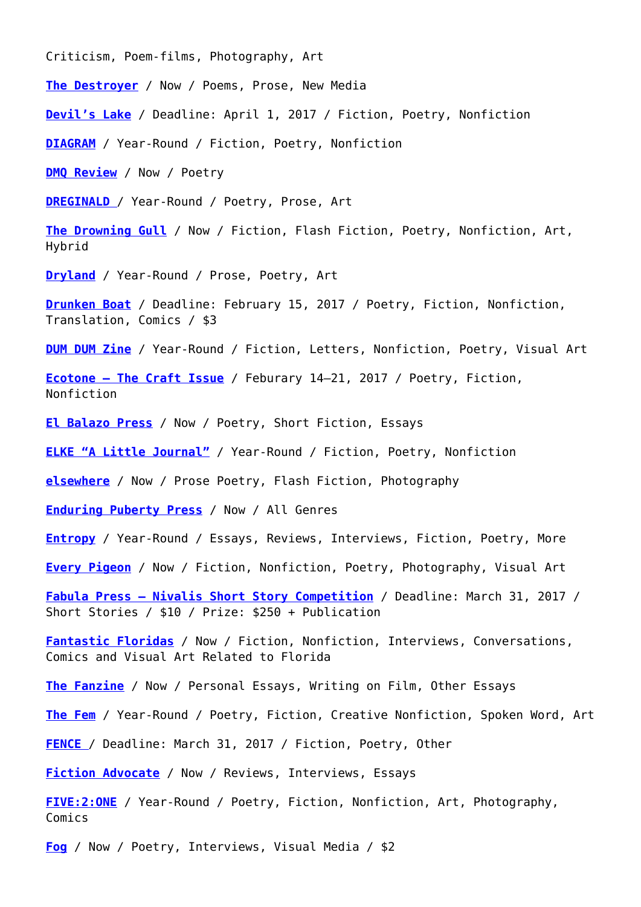Criticism, Poem-films, Photography, Art

**[The Destroyer](https://thedestroyer.submittable.com/submit)** / Now / Poems, Prose, New Media

**[Devil's Lake](https://devilslake.submittable.com/submit)** / Deadline: April 1, 2017 / Fiction, Poetry, Nonfiction

**[DIAGRAM](http://thediagram.com/subs.html)** / Year-Round / Fiction, Poetry, Nonfiction

**[DMQ Review](http://www.dmqreview.com/16Spring/index2.html)** / Now / Poetry

**[DREGINALD](http://dreginald.com/index.php/submit/)** [/](http://dreginald.com/index.php/submit/) Year-Round / Poetry, Prose, Art

**[The Drowning Gull](https://thedrowninggull.wordpress.com/submission-guidelines/)** / Now / Fiction, Flash Fiction, Poetry, Nonfiction, Art, Hybrid

**[Dryland](http://drylandlit.org/submissionguidelines/)** / Year-Round / Prose, Poetry, Art

**[Drunken Boat](https://drunkenboat.submittable.com/submit)** / Deadline: February 15, 2017 / Poetry, Fiction, Nonfiction, Translation, Comics / \$3

**[DUM DUM Zine](http://www.dumdumzine.com/submit/)** / Year-Round / Fiction, Letters, Nonfiction, Poetry, Visual Art

**[Ecotone – The Craft Issue](https://ecotonemagazine.org/submissions/upcoming-issues/)** / Feburary 14–21, 2017 / Poetry, Fiction, Nonfiction

**[El Balazo Press](http://elbalazopress.com/about-el-balazo/)** / Now / Poetry, Short Fiction, Essays

**[ELKE "A Little Journal"](http://www.elkejournal.com/submit/)** / Year-Round / Fiction, Poetry, Nonfiction

**[elsewhere](https://elsewheremag.submittable.com/submit)** / Now / Prose Poetry, Flash Fiction, Photography

**[Enduring Puberty Press](https://miuseofheterolinea.wordpress.com/always-taking-submissions/)** / Now / All Genres

**[Entropy](https://entropymag.org/submission-guidelines/)** / Year-Round / Essays, Reviews, Interviews, Fiction, Poetry, More

**[Every Pigeon](http://everypigeon.com/submit/submit/)** / Now / Fiction, Nonfiction, Poetry, Photography, Visual Art

**[Fabula Press – Nivalis Short Story Competition](http://www.fabulapress.com/the-contest/)** / Deadline: March 31, 2017 / Short Stories / \$10 / Prize: \$250 + Publication

**[Fantastic Floridas](https://burrowpress.submittable.com/submit)** / Now / Fiction, Nonfiction, Interviews, Conversations, Comics and Visual Art Related to Florida

**[The Fanzine](http://thefanzine.com/contact/)** / Now / Personal Essays, Writing on Film, Other Essays

**[The Fem](https://thefemlitmagazine.wordpress.com/submissions/)** / Year-Round / Poetry, Fiction, Creative Nonfiction, Spoken Word, Art

**[FENCE](http://www.fenceportal.org/?page_id=31)** / Deadline: March 31, 2017 / Fiction, Poetry, Other

**[Fiction Advocate](http://fictionadvocate.com/submit-3/)** / Now / Reviews, Interviews, Essays

**[FIVE:2:ONE](http://five2onemagazine.com/submission-guidelines/)** / Year-Round / Poetry, Fiction, Nonfiction, Art, Photography, Comics

**[Fog](http://fogmachine.life/submit/)** / Now / Poetry, Interviews, Visual Media / \$2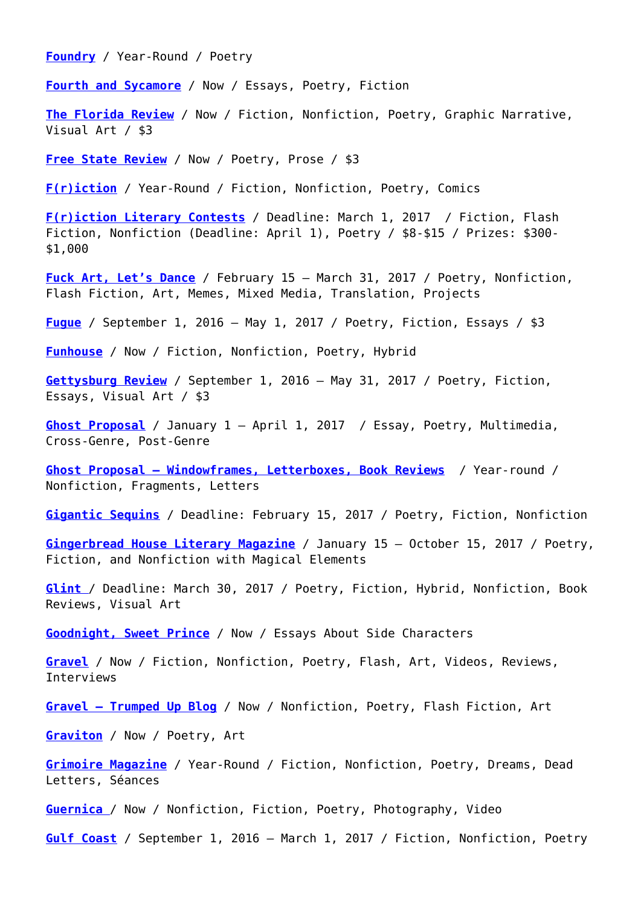**[Foundry](http://www.foundryjournal.com/submit.html)** / Year-Round / Poetry

**[Fourth and Sycamore](https://fourthandsycamore.com/write-for-us/writing-guidelines/)** / Now / Essays, Poetry, Fiction

**[The Florida Review](https://floridareview.submittable.com/Submit)** / Now / Fiction, Nonfiction, Poetry, Graphic Narrative, Visual Art / \$3

**[Free State Review](http://www.freestatereview.com/submit.html)** / Now / Poetry, Prose / \$3

**[F\(r\)iction](http://tetheredbyletters.com/friction-guidelines/)** / Year-Round / Fiction, Nonfiction, Poetry, Comics

**[F\(r\)iction Literary Contests](http://tetheredbyletters.com/friction-guidelines/)** / Deadline: March 1, 2017 / Fiction, Flash Fiction, Nonfiction (Deadline: April 1), Poetry / \$8-\$15 / Prizes: \$300- \$1,000

**[Fuck Art, Let's Dance](http://www.nostroviatowriting.com/fuck-art-lets-dance.html)** / February 15 – March 31, 2017 / Poetry, Nonfiction, Flash Fiction, Art, Memes, Mixed Media, Translation, Projects

**[Fugue](http://www.fuguejournal.com/submit/)** / September 1, 2016 – May 1, 2017 / Poetry, Fiction, Essays / \$3

**[Funhouse](http://www.funhousemagazine.com/about/#submissions)** / Now / Fiction, Nonfiction, Poetry, Hybrid

**[Gettysburg Review](http://www.gettysburgreview.com/submissions/)** / September 1, 2016 – May 31, 2017 / Poetry, Fiction, Essays, Visual Art / \$3

**[Ghost Proposal](http://ghostproposal.com/submit/)** / January 1 – April 1, 2017 / Essay, Poetry, Multimedia, Cross-Genre, Post-Genre

**[Ghost Proposal – Windowframes, Letterboxes, Book Reviews](http://www.ghostproposal.com/submit/)** / Year-round / Nonfiction, Fragments, Letters

**[Gigantic Sequins](https://giganticsequins.submittable.com/submit)** / Deadline: February 15, 2017 / Poetry, Fiction, Nonfiction

**[Gingerbread House Literary Magazine](https://gingerbreadhouselitmag.com/submission-guidelines/)** / January 15 – October 15, 2017 / Poetry, Fiction, and Nonfiction with Magical Elements

**[Glint](https://glintjournal.wordpress.com/glint-7-submissions/)** / Deadline: March 30, 2017 / Poetry, Fiction, Hybrid, Nonfiction, Book Reviews, Visual Art

**[Goodnight, Sweet Prince](http://goodnightsweetprince.rip/production-notes.html)** / Now / Essays About Side Characters

**[Gravel](https://gravel.submittable.com/submit)** / Now / Fiction, Nonfiction, Poetry, Flash, Art, Videos, Reviews, Interviews

**[Gravel – Trumped Up Blog](https://gravel.submittable.com/submit)** / Now / Nonfiction, Poetry, Flash Fiction, Art

**[Graviton](http://gravitonlit.tumblr.com/allwehaveisnow)** / Now / Poetry, Art

**[Grimoire Magazine](http://www.wearegrimoire.com/submit/)** / Year-Round / Fiction, Nonfiction, Poetry, Dreams, Dead Letters, Séances

**[Guernica](https://www.guernicamag.com/information/submit/)** / Now / Nonfiction, Fiction, Poetry, Photography, Video

**[Gulf Coast](http://gulfcoastmag.org/submit/)** / September 1, 2016 – March 1, 2017 / Fiction, Nonfiction, Poetry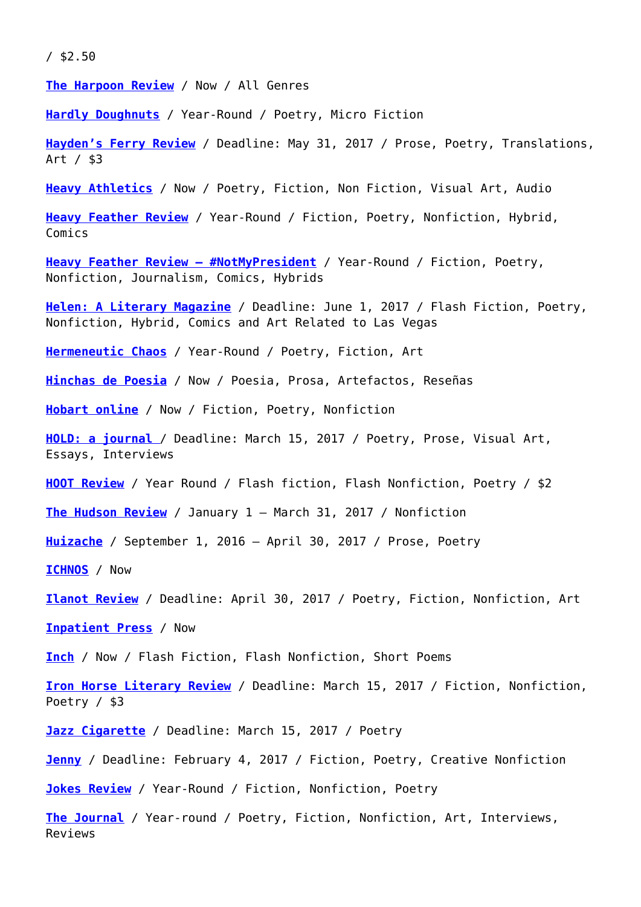/ \$2.50

**[The Harpoon Review](http://www.harpoonreview.com/submissions.html)** / Now / All Genres

**[Hardly Doughnuts](http://hardlydoughnuts.com/submissions)** / Year-Round / Poetry, Micro Fiction

**[Hayden's Ferry Review](https://hfr.submittable.com/submit)** / Deadline: May 31, 2017 / Prose, Poetry, Translations, Art / \$3

**[Heavy Athletics](http://www.heavyathletics.us/SUBMIT)** / Now / Poetry, Fiction, Non Fiction, Visual Art, Audio

**[Heavy Feather Review](http://heavyfeatherreview.com/submit/)** / Year-Round / Fiction, Poetry, Nonfiction, Hybrid, Comics

**[Heavy Feather Review – #NotMyPresident](https://heavyfeatherreview.submittable.com/submit/71422/notmypresident-online)** / Year-Round / Fiction, Poetry, Nonfiction, Journalism, Comics, Hybrids

**[Helen: A Literary Magazine](http://www.helenpresents.com/submit/)** / Deadline: June 1, 2017 / Flash Fiction, Poetry, Nonfiction, Hybrid, Comics and Art Related to Las Vegas

**[Hermeneutic Chaos](http://www.hermeneuticchaosjournal.com/submissions.html)** / Year-Round / Poetry, Fiction, Art

**[Hinchas de Poesia](https://hinchasdepoesia.submittable.com/submit)** / Now / Poesia, Prosa, Artefactos, Reseñas

**[Hobart online](http://www.hobartpulp.com/submit)** / Now / Fiction, Poetry, Nonfiction

**[HOLD: a journal](http://holdajournal.com/submissions)** / Deadline: March 15, 2017 / Poetry, Prose, Visual Art, Essays, Interviews

**[HOOT Review](http://www.hootreview.com/submissions/)** / Year Round / Flash fiction, Flash Nonfiction, Poetry / \$2

**[The Hudson Review](http://hudsonreview.com/about-us/submission-guidelines/)** / January 1 – March 31, 2017 / Nonfiction

**[Huizache](http://huizachemag.org/about/submissions/)** / September 1, 2016 – April 30, 2017 / Prose, Poetry

**[ICHNOS](http://ichnos.net/)** / Now

**[Ilanot Review](http://www.ilanotreview.com/submissions-page/)** / Deadline: April 30, 2017 / Poetry, Fiction, Nonfiction, Art

**[Inpatient Press](http://www.inpatientpress.com/submissions/)** / Now

**[Inch](http://bullcitypress.com/submissions-top/submissions/)** / Now / Flash Fiction, Flash Nonfiction, Short Poems

**[Iron Horse Literary Review](https://ironhorse.submittable.com/submit)** / Deadline: March 15, 2017 / Fiction, Nonfiction, Poetry / \$3

**[Jazz Cigarette](http://www.jazzcig.com/submit.html)** / Deadline: March 15, 2017 / Poetry

**[Jenny](https://jennymag.submittable.com/submit)** / Deadline: February 4, 2017 / Fiction, Poetry, Creative Nonfiction

**[Jokes Review](http://www.jokesliteraryreview.com/submit/)** / Year-Round / Fiction, Nonfiction, Poetry

**[The Journal](http://thejournalmag.org/submit)** / Year-round / Poetry, Fiction, Nonfiction, Art, Interviews, Reviews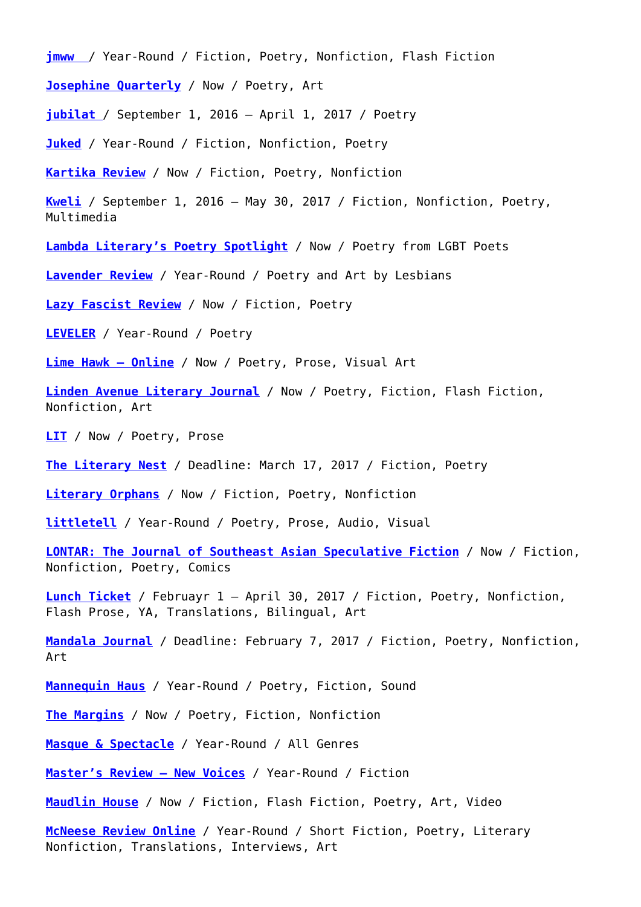**[jmww](https://jmww.submittable.com/Submit)** / Year-Round / Fiction, Poetry, Nonfiction, Flash Fiction **[Josephine Quarterly](http://www.josephinequarterly.com/submit.html)** / Now / Poetry, Art

**[jubilat](http://www.jubilat.org/jubilat/about/office/submit/)** / September 1, 2016 – April 1, 2017 / Poetry

**[Juked](http://www.juked.com/info/submit.asp)** / Year-Round / Fiction, Nonfiction, Poetry

**[Kartika Review](https://kartikareview.submittable.com/submit)** / Now / Fiction, Poetry, Nonfiction

**[Kweli](https://kwelijournal.submittable.com/submit)** / September 1, 2016 – May 30, 2017 / Fiction, Nonfiction, Poetry, Multimedia

**[Lambda Literary's Poetry Spotlight](https://lambdaliterary.submittable.com/submit)** / Now / Poetry from LGBT Poets

**[Lavender Review](http://www.lavrev.net/p/submit.html)** / Year-Round / Poetry and Art by Lesbians

**[Lazy Fascist Review](http://lazyfascistpress.com/lazy-fascist-review/)** / Now / Fiction, Poetry

**[LEVELER](http://www.levelerpoetry.com/submissions/)** / Year-Round / Poetry

**[Lime Hawk – Online](http://www.limehawk.org/submit)** / Now / Poetry, Prose, Visual Art

**[Linden Avenue Literary Journal](https://lindenavenue.submittable.com/submit)** / Now / Poetry, Fiction, Flash Fiction, Nonfiction, Art

**[LIT](https://litmagazine.submittable.com/submit)** / Now / Poetry, Prose

**[The Literary Nest](https://theliterarynest.com/submissions/literary-submissions/)** / Deadline: March 17, 2017 / Fiction, Poetry

**[Literary Orphans](https://literaryorphans.submittable.com/submit)** / Now / Fiction, Poetry, Nonfiction

**[littletell](http://www.littletell.org/submit/)** / Year-Round / Poetry, Prose, Audio, Visual

**[LONTAR: The Journal of Southeast Asian Speculative Fiction](https://lontarjournal.submittable.com/submit)** / Now / Fiction, Nonfiction, Poetry, Comics

**[Lunch Ticket](http://lunchticket.org/about/submission-guidelines/)** / Februayr 1 – April 30, 2017 / Fiction, Poetry, Nonfiction, Flash Prose, YA, Translations, Bilingual, Art

**[Mandala Journal](http://www.mandala.uga.edu/submit.php)** / Deadline: February 7, 2017 / Fiction, Poetry, Nonfiction, Art

**[Mannequin Haus](http://infii2.weebly.com/submissions.html)** / Year-Round / Poetry, Fiction, Sound

**[The Margins](https://aaww.submittable.com/submit)** / Now / Poetry, Fiction, Nonfiction

**[Masque & Spectacle](https://masqueandspectacle.com/submission-guidelines/)** / Year-Round / All Genres

**[Master's Review – New Voices](https://themastersreview.submittable.com/submit)** / Year-Round / Fiction

**[Maudlin House](https://maudlinhouse.submittable.com/submit)** / Now / Fiction, Flash Fiction, Poetry, Art, Video

**[McNeese Review Online](https://mcneesereview.submittable.com/submit)** / Year-Round / Short Fiction, Poetry, Literary Nonfiction, Translations, Interviews, Art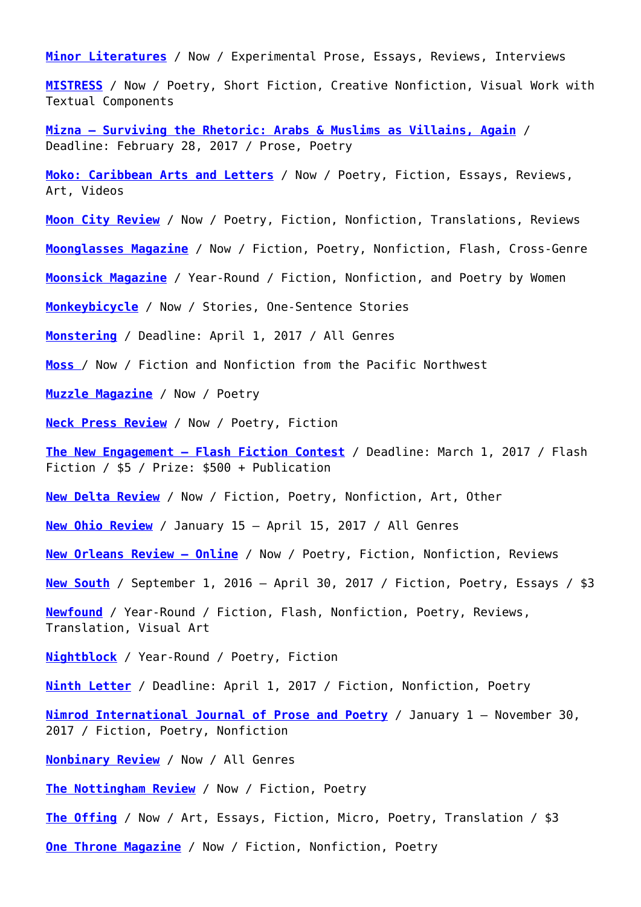**[Minor Literatures](http://minorliteratures.com/submit/)** / Now / Experimental Prose, Essays, Reviews, Interviews

**[MISTRESS](http://poemmistress.com/guidelines.html)** / Now / Poetry, Short Fiction, Creative Nonfiction, Visual Work with Textual Components

**[Mizna – Surviving the Rhetoric: Arabs & Muslims as Villains, Again](http://mizna.org/articles/about/36.shtml)** / Deadline: February 28, 2017 / Prose, Poetry

**[Moko: Caribbean Arts and Letters](https://mokomagazine.submittable.com/submit)** / Now / Poetry, Fiction, Essays, Reviews, Art, Videos

**[Moon City Review](https://mooncitypress.submittable.com/submit)** / Now / Poetry, Fiction, Nonfiction, Translations, Reviews

**[Moonglasses Magazine](http://www.moonglassesmag.com/submission-guidelines)** / Now / Fiction, Poetry, Nonfiction, Flash, Cross-Genre

**[Moonsick Magazine](http://www.moonsickmagazine.com/submit.html)** / Year-Round / Fiction, Nonfiction, and Poetry by Women

**[Monkeybicycle](https://monkeybicycle.submittable.com/submit)** / Now / Stories, One-Sentence Stories

**[Monstering](http://www.monsteringmag.com/submit/)** / Deadline: April 1, 2017 / All Genres

**[Moss](http://www.mosslit.com/vol02/issue05.html#CallForPapers)** / Now / Fiction and Nonfiction from the Pacific Northwest

**[Muzzle Magazine](https://muzzlemagazine.submittable.com/submit)** / Now / Poetry

**[Neck Press Review](http://www.neckpressreview.com/review-submissions.html)** / Now / Poetry, Fiction

**[The New Engagement – Flash Fiction Contest](http://thenewengagement.com/submit-your-work)** / Deadline: March 1, 2017 / Flash Fiction / \$5 / Prize: \$500 + Publication

**[New Delta Review](http://ndrmag.org/submissions/)** / Now / Fiction, Poetry, Nonfiction, Art, Other

**[New Ohio Review](https://www.ohio.edu/nor/submit.htm)** / January 15 – April 15, 2017 / All Genres

**[New Orleans Review – Online](https://neworleansreview.submittable.com/Submit)** / Now / Poetry, Fiction, Nonfiction, Reviews

**[New South](https://newsouth.submittable.com/submit)** / September 1, 2016 – April 30, 2017 / Fiction, Poetry, Essays / \$3

**[Newfound](https://newfound.submittable.com/submit)** / Year-Round / Fiction, Flash, Nonfiction, Poetry, Reviews, Translation, Visual Art

**[Nightblock](http://www.nightblockmag.com/submissions/)** / Year-Round / Poetry, Fiction

**[Ninth Letter](https://ninthletteronline.submittable.com/submit)** / Deadline: April 1, 2017 / Fiction, Nonfiction, Poetry

**[Nimrod International Journal of Prose and Poetry](http://utulsa.edu/nimrod/submissions.html)** / January 1 – November 30, 2017 / Fiction, Poetry, Nonfiction

**[Nonbinary Review](https://nonbinaryreview.submittable.com/submit)** / Now / All Genres

**[The Nottingham Review](http://www.thenottinghamreview.com/submit.html)** / Now / Fiction, Poetry

**[The Offing](https://theoffingmag.submittable.com/submit)** / Now / Art, Essays, Fiction, Micro, Poetry, Translation / \$3

**[One Throne Magazine](http://www.onethrone.com/#!submit/c2q4)** / Now / Fiction, Nonfiction, Poetry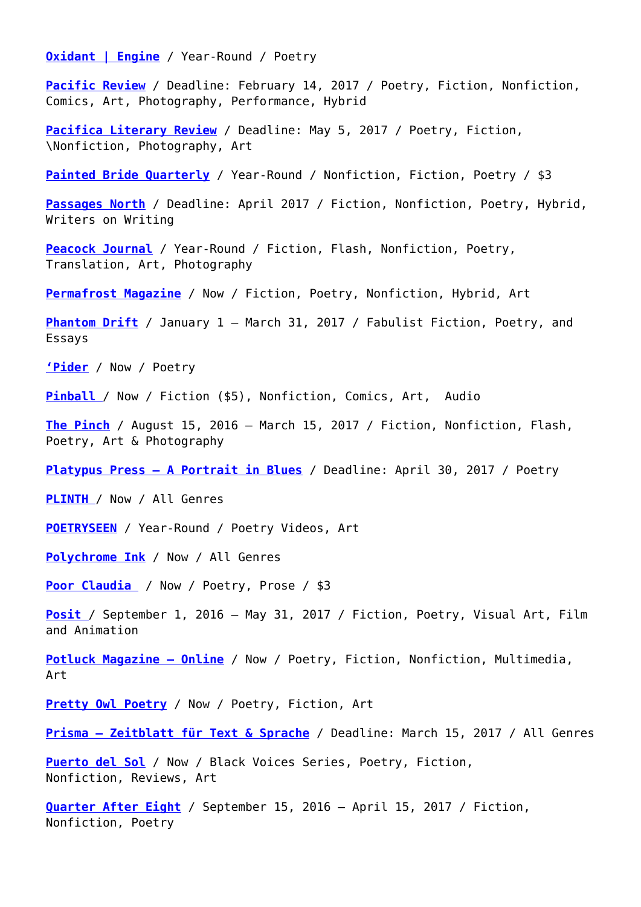**[Oxidant | Engine](http://www.oxidantengine.com/submissions)** / Year-Round / Poetry

**[Pacific Review](https://pacrev.submittable.com/submit)** / Deadline: February 14, 2017 / Poetry, Fiction, Nonfiction, Comics, Art, Photography, Performance, Hybrid

**[Pacifica Literary Review](https://pacificaliteraryreview.submittable.com/submit)** / Deadline: May 5, 2017 / Poetry, Fiction, \Nonfiction, Photography, Art

**[Painted Bride Quarterly](https://pbq.submittable.com/submit)** / Year-Round / Nonfiction, Fiction, Poetry / \$3

[Passages North](http://passagesnorth.com/submissions/) / Deadline: April 2017 / Fiction, Nonfiction, Poetry, Hybrid, Writers on Writing

**[Peacock Journal](http://peacockjournal.com/guidelines/)** / Year-Round / Fiction, Flash, Nonfiction, Poetry, Translation, Art, Photography

**[Permafrost Magazine](https://permafrostmag.submittable.com/submit)** / Now / Fiction, Poetry, Nonfiction, Hybrid, Art

**[Phantom Drift](http://www.phantomdrift.org/#!/sitepage_4)** / January 1 – March 31, 2017 / Fabulist Fiction, Poetry, and Essays

**['Pider](http://www.pidermag.com/)** / Now / Poetry

**[Pinball](https://pinball.submittable.com/submit)** / Now / Fiction (\$5), Nonfiction, Comics, Art, Audio

**[The Pinch](https://pinchjournal.submittable.com/submit)** / August 15, 2016 – March 15, 2017 / Fiction, Nonfiction, Flash, Poetry, Art & Photography

**[Platypus Press – A Portrait in Blues](http://platypuspress.co.uk/aportraitinblues)** / Deadline: April 30, 2017 / Poetry

**[PLINTH](http://www.plinth.us/issue02/submissions.html)** / Now / All Genres

**[POETRYSEEN](http://poetryseen.com/submit/)** / Year-Round / Poetry Videos, Art

**[Polychrome Ink](http://zillion-press.com/submission-information/#)** / Now / All Genres

**[Poor Claudia](https://poorclaudia.submittable.com/submit)** / Now / Poetry, Prose / \$3

**[Posit](https://positjournal.com/guidelines/)** / September 1, 2016 – May 31, 2017 / Fiction, Poetry, Visual Art, Film and Animation

**[Potluck Magazine – Online](http://www.potluckmag.com/submit/)** / Now / Poetry, Fiction, Nonfiction, Multimedia, Art

**[Pretty Owl Poetry](http://prettyowlpoetry.com/submit/)** / Now / Poetry, Fiction, Art

**[Prisma – Zeitblatt für Text & Sprache](http://www.zeitblatt-prisma.de/en/texteinsendungen/)** / Deadline: March 15, 2017 / All Genres

**[Puerto del Sol](https://puertodelsol.submittable.com/submit)** / Now / Black Voices Series, Poetry, Fiction, Nonfiction, Reviews, Art

**[Quarter After Eight](http://www.quarteraftereight.org/submit.html)** / September 15, 2016 – April 15, 2017 / Fiction, Nonfiction, Poetry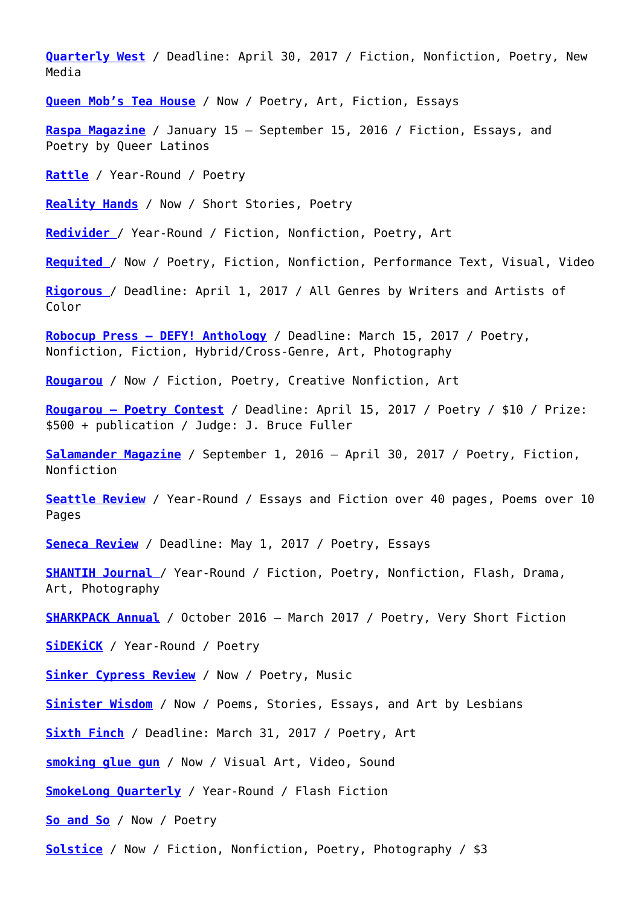**[Quarterly West](http://quarterlywest.com/?page_id=9)** / Deadline: April 30, 2017 / Fiction, Nonfiction, Poetry, New Media

**[Queen Mob's Tea House](http://queenmobs.com/submissions/)** / Now / Poetry, Art, Fiction, Essays

**[Raspa Magazine](http://www.raspamagazine.com/submissions/)** / January 15 – September 15, 2016 / Fiction, Essays, and Poetry by Queer Latinos

**[Rattle](https://rattle.submittable.com/submit)** / Year-Round / Poetry

**[Reality Hands](http://www.realityhands.com/submissions/)** / Now / Short Stories, Poetry

**[Redivider](http://www.redividerjournal.org/submit/open-submissions/)** [/](http://www.redividerjournal.org/submit/open-submissions/) Year-Round / Fiction, Nonfiction, Poetry, Art

**[Requited](https://requitedjournal.submittable.com/submit)** / Now / Poetry, Fiction, Nonfiction, Performance Text, Visual, Video

**[Rigorous](https://rigorous.submittable.com/submit)** / Deadline: April 1, 2017 / All Genres by Writers and Artists of Color

**[Robocup Press – DEFY! Anthology](http://www.robocup-press.com/defy-anthology.html)** / Deadline: March 15, 2017 / Poetry, Nonfiction, Fiction, Hybrid/Cross-Genre, Art, Photography

**[Rougarou](https://rougarou.submittable.com/submit)** / Now / Fiction, Poetry, Creative Nonfiction, Art

**[Rougarou – Poetry Contest](https://rougarou.submittable.com/submit/77587/2017-rougarou-poetry-contest)** / Deadline: April 15, 2017 / Poetry / \$10 / Prize: \$500 + publication / Judge: J. Bruce Fuller

**[Salamander Magazine](http://salamandermag.org/submit-manager/)** / September 1, 2016 – April 30, 2017 / Poetry, Fiction, Nonfiction

**[Seattle Review](https://seattlereview.submittable.com/Submit)** / Year-Round / Essays and Fiction over 40 pages, Poems over 10 Pages

**[Seneca Review](http://www.hws.edu/senecareview/submissions.aspx)** / Deadline: May 1, 2017 / Poetry, Essays

**[SHANTIH Journal](https://shantihjournal.org/submissions/)** / Year-Round / Fiction, Poetry, Nonfiction, Flash, Drama, Art, Photography

**[SHARKPACK](http://sharkpackpoetry.com/valus-sigil/) [Annual](https://sharkpackpoetry.com/spr-annual/)** / October 2016 – March 2017 / Poetry, Very Short Fiction

**[SiDEKiCK](http://www.sidekicklit.com/submit/)** / Year-Round / Poetry

**[Sinker Cypress Review](http://www.sinkercypressreview.com/p/submissions.html)** / Now / Poetry, Music

**[Sinister Wisdom](https://sinisterwisdom.submittable.com/submit)** / Now / Poems, Stories, Essays, and Art by Lesbians

**[Sixth Finch](http://sixthfinch.com/submit.html)** / Deadline: March 31, 2017 / Poetry, Art

**[smoking glue gun](https://smokinggluegun.submittable.com/submit)** / Now / Visual Art, Video, Sound

**[SmokeLong Quarterly](http://www.smokelong.com/submissions/guidelines/)** / Year-Round / Flash Fiction

**[So and So](http://soandsomag.org/magazine-submissions/4565895247)** / Now / Poetry

**[Solstice](http://solsticelitmag.org/submit/)** / Now / Fiction, Nonfiction, Poetry, Photography / \$3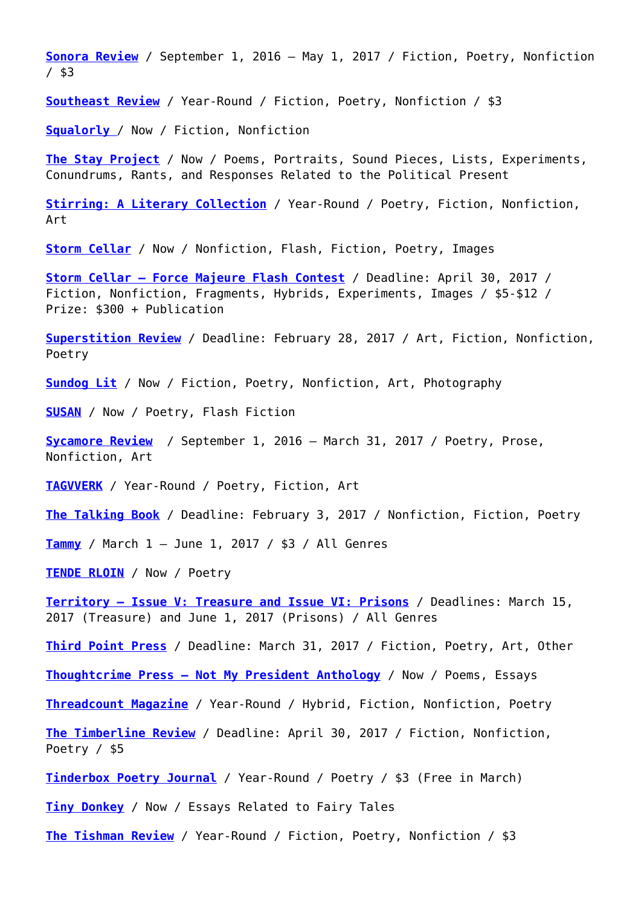**[Sonora Review](http://sonorareview.com/submit/)** / September 1, 2016 – May 1, 2017 / Fiction, Poetry, Nonfiction / \$3

**[Southeast Review](http://southeastreview.org/submit/)** / Year-Round / Fiction, Poetry, Nonfiction / \$3

**[Squalorly](https://squalorly.submittable.com/submit)** [/](https://squalorly.submittable.com/submit) Now / Fiction, Nonfiction

**[The Stay Project](http://www.thestayproject.us/)** / Now / Poems, Portraits, Sound Pieces, Lists, Experiments, Conundrums, Rants, and Responses Related to the Political Present

**[Stirring: A Literary Collection](https://www.stirringlit.com/submit)** / Year-Round / Poetry, Fiction, Nonfiction, Art

**[Storm Cellar](https://stormcellarquarterly.com/submit/)** / Now / Nonfiction, Flash, Fiction, Poetry, Images

**[Storm Cellar – Force Majeure Flash Contest](https://stormcellar.submittable.com/submit/72759/500-force-majeure-flash-contest)** / Deadline: April 30, 2017 / Fiction, Nonfiction, Fragments, Hybrids, Experiments, Images / \$5-\$12 / Prize: \$300 + Publication

**[Superstition Review](https://superstitionreview.submittable.com/submit)** / Deadline: February 28, 2017 / Art, Fiction, Nonfiction, Poetry

**[Sundog Lit](https://sundoglit.com/submissions/)** / Now / Fiction, Poetry, Nonfiction, Art, Photography

**[SUSAN](https://susan.submittable.com/submit)** / Now / Poetry, Flash Fiction

**[Sycamore Review](http://www.sycamorereview.com/submissions/)** / September 1, 2016 – March 31, 2017 / Poetry, Prose, Nonfiction, Art

**[TAGVVERK](http://tagvverk.info/)** / Year-Round / Poetry, Fiction, Art

**[The Talking Book](https://talkingbook.submittable.com/submit)** / Deadline: February 3, 2017 / Nonfiction, Fiction, Poetry

**[Tammy](https://tammy.submittable.com/submit)** / March 1 – June 1, 2017 / \$3 / All Genres

**[TENDE RLOIN](http://www.tender-loin.com/submit.html)** / Now / Poetry

**[Territory – Issue V: Treasure and Issue VI: Prisons](http://themapisnot.com/submissions/)** / Deadlines: March 15, 2017 (Treasure) and June 1, 2017 (Prisons) / All Genres

**[Third Point Press](https://thirdpointpress.submittable.com/submit)** / Deadline: March 31, 2017 / Fiction, Poetry, Art, Other

**[Thoughtcrime Press – Not My President Anthology](http://thoughtcrimepress.com/not-my-president/)** / Now / Poems, Essays

**[Threadcount Magazine](http://threadcountmag.com/submissions/)** / Year-Round / Hybrid, Fiction, Nonfiction, Poetry

**[The Timberline Review](http://timberlinereview.com/submissions/)** / Deadline: April 30, 2017 / Fiction, Nonfiction, Poetry / \$5

**[Tinderbox Poetry Journal](https://tinderboxpoetryjournal.submittable.com/submit)** / Year-Round / Poetry / \$3 (Free in March)

**[Tiny Donkey](https://fairytalereview.submittable.com/submit)** / Now / Essays Related to Fairy Tales

**[The Tishman Review](https://thetishmanreview.submittable.com/submit)** / Year-Round / Fiction, Poetry, Nonfiction / \$3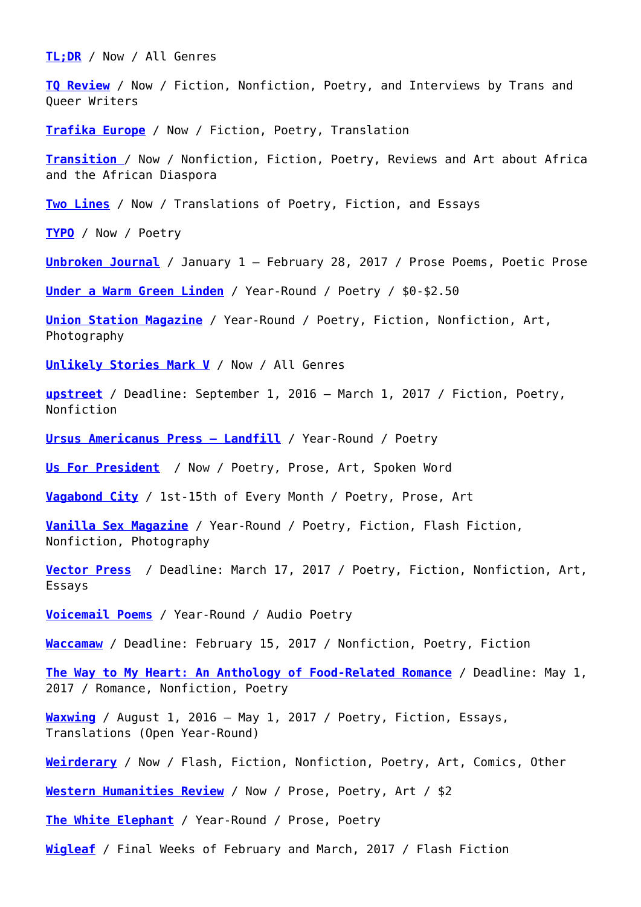**[TL;DR](http://www.tldrmagazine.com/#!submit/c24vq)** / Now / All Genres

**[TQ Review](http://damagedgoodspress.com/tq-review/)** / Now / Fiction, Nonfiction, Poetry, and Interviews by Trans and Queer Writers

**[Trafika Europe](http://trafikaeurope.org/contact/#.VIi_syvF9IF)** / Now / Fiction, Poetry, Translation

**[Transition](https://transition.submittable.com/submit)** / Now / Nonfiction, Fiction, Poetry, Reviews and Art about Africa and the African Diaspora

**[Two Lines](https://twolines.submittable.com/submit)** / Now / Translations of Poetry, Fiction, and Essays

**[TYPO](https://typo.submittable.com/Submit)** / Now / Poetry

**[Unbroken Journal](http://unbrokenjournal.com/submit)** / January 1 – February 28, 2017 / Prose Poems, Poetic Prose

**[Under a Warm Green Linden](http://www.greenlindenpress.com/submit)** / Year-Round / Poetry / \$0-\$2.50

**[Union Station Magazine](https://unionstation.submittable.com/Submit)** / Year-Round / Poetry, Fiction, Nonfiction, Art, Photography

**[Unlikely Stories Mark V](http://www.unlikelystories.org/mission)** / Now / All Genres

**[upstreet](http://www.upstreet-mag.org/guideline_layers.html)** / Deadline: September 1, 2016 – March 1, 2017 / Fiction, Poetry, Nonfiction

**[Ursus Americanus Press – Landfill](https://ursusamericanuslit.squarespace.com/chapbooks/)** / Year-Round / Poetry

**[Us For President](https://usforpresident.org/)** / Now / Poetry, Prose, Art, Spoken Word

**[Vagabond City](https://vagabondcityjournal.wordpress.com/submission-guidlines/)** / 1st-15th of Every Month / Poetry, Prose, Art

**[Vanilla Sex Magazine](http://www.vanillasexmagazine.com/submit.html)** / Year-Round / Poetry, Fiction, Flash Fiction, Nonfiction, Photography

**[Vector Press](http://www.vectorpress.org/submit.html)** / Deadline: March 17, 2017 / Poetry, Fiction, Nonfiction, Art, Essays

**[Voicemail Poems](http://voicemailpoems.org/guidelines)** / Year-Round / Audio Poetry

**[Waccamaw](https://waccamawjournal.submittable.com/submit)** / Deadline: February 15, 2017 / Nonfiction, Poetry, Fiction

**[The Way to My Heart: An Anthology of Food-Related Romance](http://www.kellyannjacobson.com/anthologies/the-way-to-my-heart#sthash.kOQLOJ4X.dpbs)** / Deadline: May 1, 2017 / Romance, Nonfiction, Poetry

**[Waxwing](https://waxwing.submittable.com/submit)** / August 1, 2016 – May 1, 2017 / Poetry, Fiction, Essays, Translations (Open Year-Round)

**[Weirderary](https://weirderary.submittable.com/submit)** / Now / Flash, Fiction, Nonfiction, Poetry, Art, Comics, Other

**[Western Humanities Review](http://www.westernhumanitiesreview.com/submissions/)** / Now / Prose, Poetry, Art / \$2

**[The White Elephant](http://whiteelephantmagazine.com/submissions/)** / Year-Round / Prose, Poetry

**[Wigleaf](http://wigleaf.com/about.htm)** / Final Weeks of February and March, 2017 / Flash Fiction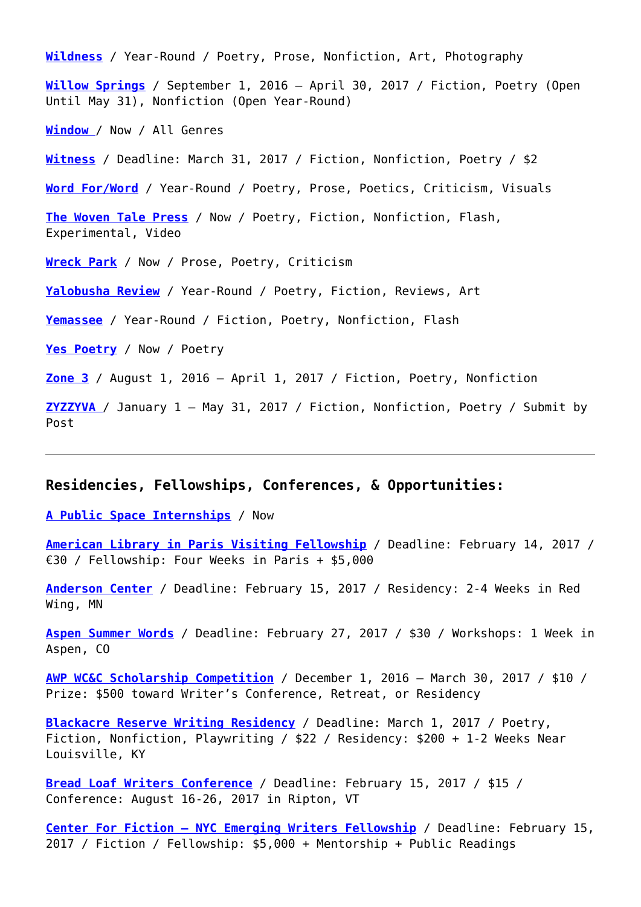**[Wildness](http://readwildness.com/submit)** / Year-Round / Poetry, Prose, Nonfiction, Art, Photography **[Willow Springs](http://willowspringsmagazine.org/submit/)** / September 1, 2016 – April 30, 2017 / Fiction, Poetry (Open Until May 31), Nonfiction (Open Year-Round) **[Window](http://www.patient-sounds.com/#!window/c20z1)** / Now / All Genres **[Witness](http://witness.blackmountaininstitute.org/submit/)** / Deadline: March 31, 2017 / Fiction, Nonfiction, Poetry / \$2 **[Word For/Word](http://www.wordforword.info/vol28/masthead.html)** / Year-Round / Poetry, Prose, Poetics, Criticism, Visuals **[The Woven Tale Press](https://thewoventalepress.submittable.com/submit)** / Now / Poetry, Fiction, Nonfiction, Flash, Experimental, Video **[Wreck Park](http://wreckparkjournal.com/submit.html)** / Now / Prose, Poetry, Criticism **[Yalobusha Review](https://yalobushareview.submittable.com/submit)** / Year-Round / Poetry, Fiction, Reviews, Art **[Yemassee](https://yemassee.submittable.com/submit)** / Year-Round / Fiction, Poetry, Nonfiction, Flash **[Yes Poetry](http://www.yespoetry.com/submissions/)** / Now / Poetry **[Zone 3](http://www.apsu.edu/zone3/submissions)** / August 1, 2016 – April 1, 2017 / Fiction, Poetry, Nonfiction **[ZYZZYVA](http://www.zyzzyva.org/about/submissions/)** / January 1 – May 31, 2017 / Fiction, Nonfiction, Poetry / Submit by Post

## **Residencies, Fellowships, Conferences, & Opportunities:**

**[A Public Space Internships](https://apublicspacedemo.submittable.com/submit)** / Now

**[American Library in Paris Visiting Fellowship](http://americanlibraryinparis.org/events-programs/visiting-fellowship.html)** / Deadline: February 14, 2017 / €30 / Fellowship: Four Weeks in Paris + \$5,000

**[Anderson Center](http://www.andersoncenter.org/residency.html)** / Deadline: February 15, 2017 / Residency: 2-4 Weeks in Red Wing, MN

**[Aspen Summer Words](https://aspeninstitute.wufoo.com/forms/asw-2016-juried-workshop-application-form/)** / Deadline: February 27, 2017 / \$30 / Workshops: 1 Week in Aspen, CO

**[AWP WC&C Scholarship Competition](https://www.awpwriter.org/contests/wcc_scholarships_overview)** / December 1, 2016 – March 30, 2017 / \$10 / Prize: \$500 toward Writer's Conference, Retreat, or Residency

**[Blackacre Reserve Writing Residency](https://balticwritingresidency.submittable.com/Submit)** / Deadline: March 1, 2017 / Poetry, Fiction, Nonfiction, Playwriting / \$22 / Residency: \$200 + 1-2 Weeks Near Louisville, KY

**[Bread Loaf Writers Conference](http://www.middlebury.edu/bread-loaf-conferences/bl_writers/applicationandacceptance)** / Deadline: February 15, 2017 / \$15 / Conference: August 16-26, 2017 in Ripton, VT

**[Center For Fiction – NYC Emerging Writers Fellowship](http://centerforfiction.org/forwriters/grants-and-awards/)** / Deadline: February 15, 2017 / Fiction / Fellowship: \$5,000 + Mentorship + Public Readings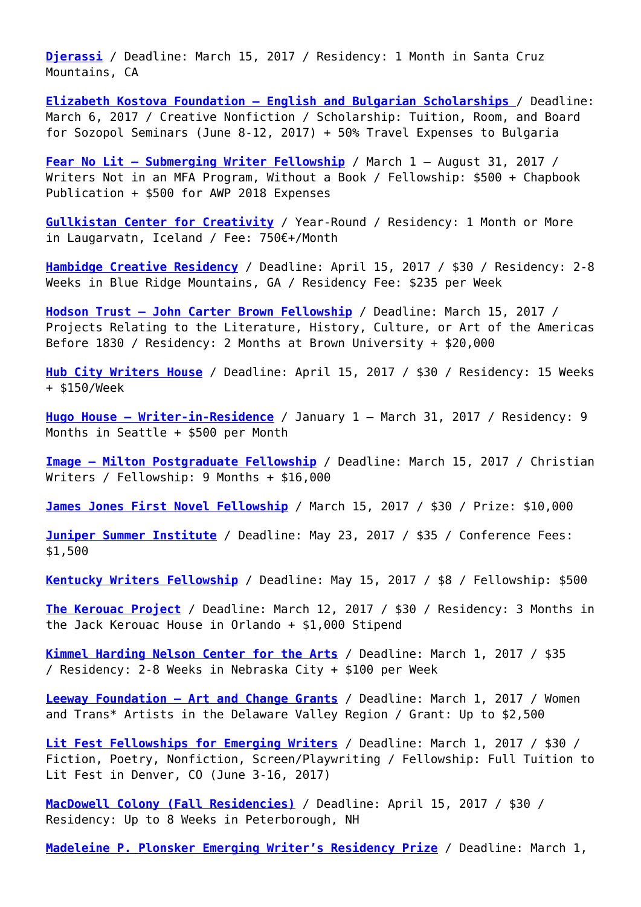**[Djerassi](http://djerassi.org/apply.html)** / Deadline: March 15, 2017 / Residency: 1 Month in Santa Cruz Mountains, CA

**[Elizabeth Kostova Foundation – English and Bulgarian Scholarships](http://ekf.bg/sozopol/page/44/)** / Deadline: March 6, 2017 / Creative Nonfiction / Scholarship: Tuition, Room, and Board for Sozopol Seminars (June 8-12, 2017) + 50% Travel Expenses to Bulgaria

**[Fear No Lit – Submerging Writer Fellowship](http://www.fearnolit.com/fellowship/)** / March 1 – August 31, 2017 / Writers Not in an MFA Program, Without a Book / Fellowship: \$500 + Chapbook Publication + \$500 for AWP 2018 Expenses

**[Gullkistan Center for Creativity](http://www.gullkistan.is/)** / Year-Round / Residency: 1 Month or More in Laugarvatn, Iceland / Fee: 750€+/Month

**[Hambidge Creative Residency](http://www.hambidge.org/application.html)** / Deadline: April 15, 2017 / \$30 / Residency: 2-8 Weeks in Blue Ridge Mountains, GA / Residency Fee: \$235 per Week

**[Hodson Trust – John Carter Brown Fellowship](https://www.washcoll.edu/centers/starr/fellowships/hodson-brown-fellowship.php)** / Deadline: March 15, 2017 / Projects Relating to the Literature, History, Culture, or Art of the Americas Before 1830 / Residency: 2 Months at Brown University + \$20,000

**[Hub City Writers House](https://hubcity.submittable.com/submit)** / Deadline: April 15, 2017 / \$30 / Residency: 15 Weeks + \$150/Week

**[Hugo House – Writer-in-Residence](https://hugohouse.org/get-involved/writers-in-residence/)** / January 1 – March 31, 2017 / Residency: 9 Months in Seattle + \$500 per Month

**[Image – Milton Postgraduate Fellowship](https://imagejournal.org/fellowship-opportunities/)** / Deadline: March 15, 2017 / Christian Writers / Fellowship: 9 Months + \$16,000

**[James Jones First Novel Fellowship](http://wilkes.edu/academics/graduate-programs/masters-programs/creative-writing-ma-mfa/james-jones-fellowship-contest.aspx)** / March 15, 2017 / \$30 / Prize: \$10,000

**[Juniper Summer Institute](https://junipersummerwritinginstitute.submittable.com/submit)** / Deadline: May 23, 2017 / \$35 / Conference Fees: \$1,500

**[Kentucky Writers Fellowship](https://balticwritingresidency.submittable.com/Submit)** / Deadline: May 15, 2017 / \$8 / Fellowship: \$500

**[The Kerouac Project](http://www.kerouacproject.org/submissions/)** / Deadline: March 12, 2017 / \$30 / Residency: 3 Months in the Jack Kerouac House in Orlando + \$1,000 Stipend

**[Kimmel Harding Nelson Center for the Arts](http://www.khncenterforthearts.org/application_process.php)** / Deadline: March 1, 2017 / \$35 / Residency: 2-8 Weeks in Nebraska City + \$100 per Week

**[Leeway Foundation – Art and Change Grants](http://www.leeway.org/grants/art_and_change_grants/)** / Deadline: March 1, 2017 / Women and Trans\* Artists in the Delaware Valley Region / Grant: Up to \$2,500

**[Lit Fest Fellowships for Emerging Writers](https://lighthousewriters.org/content/2017-lit-fest-master-workshops#overlay-context=user/)** / Deadline: March 1, 2017 / \$30 / Fiction, Poetry, Nonfiction, Screen/Playwriting / Fellowship: Full Tuition to Lit Fest in Denver, CO (June 3-16, 2017)

**[MacDowell Colony \(Fall Residencies\)](http://www.macdowellcolony.org/apply.html)** / Deadline: April 15, 2017 / \$30 / Residency: Up to 8 Weeks in Peterborough, NH

**[Madeleine P. Plonsker Emerging Writer's Residency Prize](http://www.lakeforest.edu/academics/programs/english/press/plonsker.php)** / Deadline: March 1,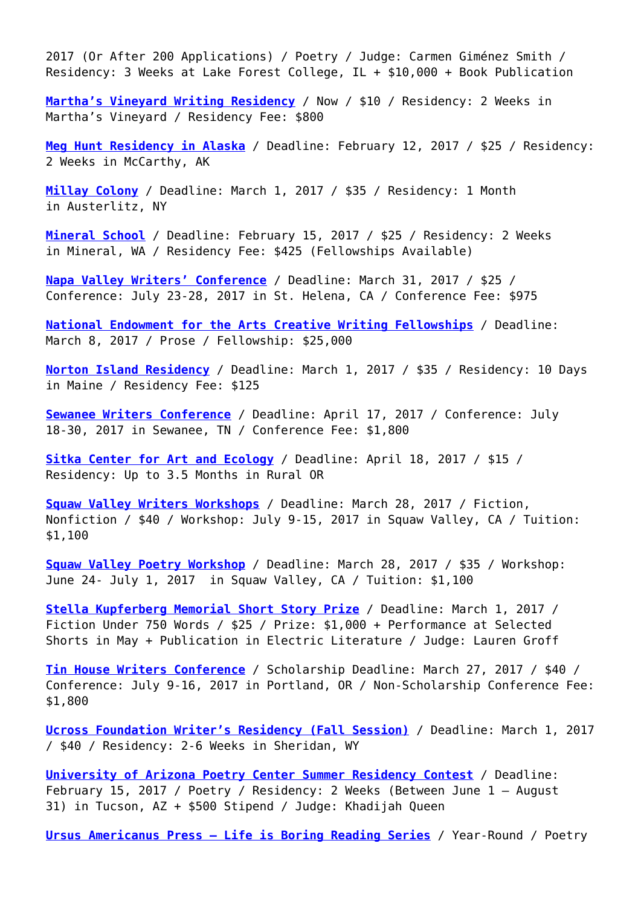2017 (Or After 200 Applications) / Poetry / Judge: Carmen Giménez Smith / Residency: 3 Weeks at Lake Forest College, IL + \$10,000 + Book Publication

**[Martha's Vineyard Writing Residency](http://noepecenter.org/writers-residency/)** / Now / \$10 / Residency: 2 Weeks in Martha's Vineyard / Residency Fee: \$800

**[Meg Hunt Residency in Alaska](http://www.wrangells.org/residencies/)** / Deadline: February 12, 2017 / \$25 / Residency: 2 Weeks in McCarthy, AK

**[Millay Colony](http://www.millaycolony.org/apply)** / Deadline: March 1, 2017 / \$35 / Residency: 1 Month in Austerlitz, NY

**[Mineral School](https://mineralschool.submittable.com/submit)** / Deadline: February 15, 2017 / \$25 / Residency: 2 Weeks in Mineral, WA / Residency Fee: \$425 (Fellowships Available)

**[Napa Valley Writers' Conference](http://www.napawritersconference.org/attend-the-conference/apply/)** / Deadline: March 31, 2017 / \$25 / Conference: July 23-28, 2017 in St. Helena, CA / Conference Fee: \$975

**[National Endowment for the Arts Creative Writing Fellowships](https://www.arts.gov/grants-individuals/creative-writing-fellowships)** / Deadline: March 8, 2017 / Prose / Fellowship: \$25,000

**[Norton Island Residency](http://www.easternfrontier.com/sessions.html)** / Deadline: March 1, 2017 / \$35 / Residency: 10 Days in Maine / Residency Fee: \$125

**[Sewanee Writers Conference](http://sewaneewriters.org/apply)** / Deadline: April 17, 2017 / Conference: July 18-30, 2017 in Sewanee, TN / Conference Fee: \$1,800

**[Sitka Center for Art and Ecology](http://www.sitkacenter.org/3-0.html)** / Deadline: April 18, 2017 / \$15 / Residency: Up to 3.5 Months in Rural OR

**[Squaw Valley Writers Workshops](https://communityofwriters.org/workshops/writers-workshops/)** / Deadline: March 28, 2017 / Fiction, Nonfiction / \$40 / Workshop: July 9-15, 2017 in Squaw Valley, CA / Tuition: \$1,100

**[Squaw Valley Poetry Workshop](https://communityofwriters.org/workshops/poetry-workshop/)** / Deadline: March 28, 2017 / \$35 / Workshop: June 24- July 1, 2017 in Squaw Valley, CA / Tuition: \$1,100

**[Stella Kupferberg Memorial Short Story Prize](http://www.selectedshorts.org/extras/writing-contest-2/)** / Deadline: March 1, 2017 / Fiction Under 750 Words / \$25 / Prize: \$1,000 + Performance at Selected Shorts in May + Publication in Electric Literature / Judge: Lauren Groff

**[Tin House Writers Conference](http://www.tinhouse.com/blog/workshop-applying)** / Scholarship Deadline: March 27, 2017 / \$40 / Conference: July 9-16, 2017 in Portland, OR / Non-Scholarship Conference Fee: \$1,800

**[Ucross Foundation Writer's Residency \(Fall Session\)](http://www.ucrossfoundation.org/residency-program/apply/)** / Deadline: March 1, 2017 / \$40 / Residency: 2-6 Weeks in Sheridan, WY

**[University of Arizona Poetry Center Summer Residency Contest](http://poetry.arizona.edu/opportunities/residencies)** / Deadline: February 15, 2017 / Poetry / Residency: 2 Weeks (Between June 1 – August 31) in Tucson, AZ + \$500 Stipend / Judge: Khadijah Queen

**[Ursus Americanus Press – Life is Boring Reading Series](https://ursusamericanuslit.squarespace.com/chapbooks/)** / Year-Round / Poetry